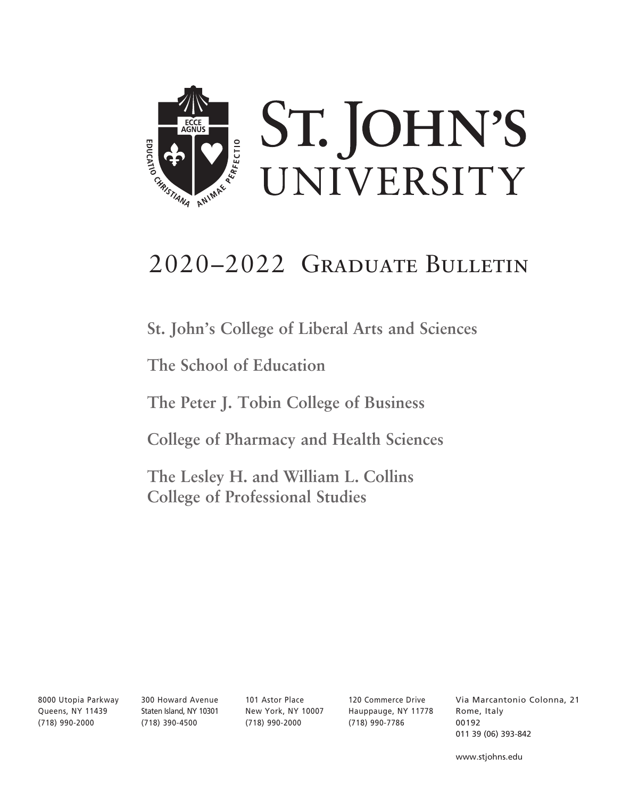

# 2020–2022 Graduate Bulletin

**St. John's College of Liberal Arts and Sciences**

**The School of Education**

**The Peter J. Tobin College of Business**

**College of Pharmacy and Health Sciences**

**The Lesley H. and William L. Collins College of Professional Studies**

8000 Utopia Parkway Queens, NY 11439 (718) 990-2000

300 Howard Avenue Staten Island, NY 10301 (718) 390-4500

101 Astor Place New York, NY 10007 (718) 990-2000

120 Commerce Drive Hauppauge, NY 11778 (718) 990-7786

Via Marcantonio Colonna, 21 Rome, Italy 00192 011 39 (06) 393-842

www.stjohns.edu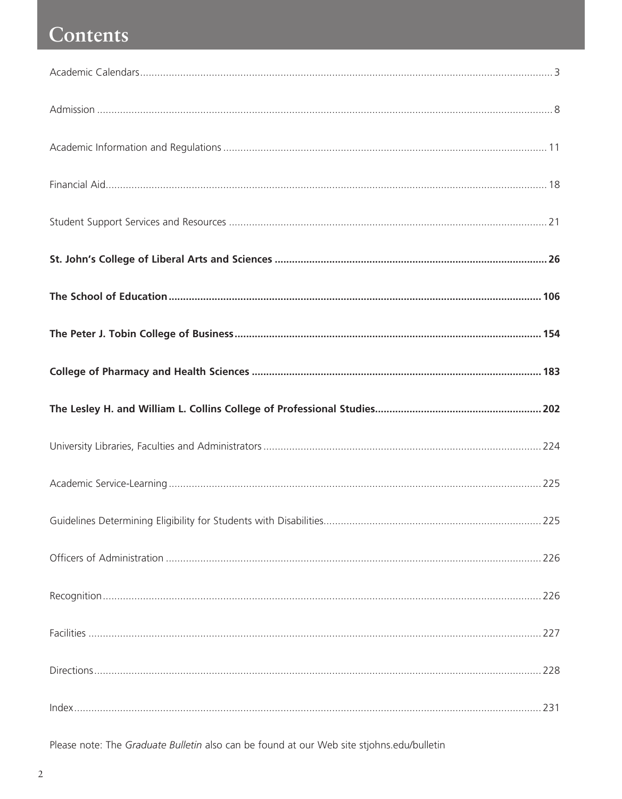# Contents

Please note: The Graduate Bulletin also can be found at our Web site stjohns.edu/bulletin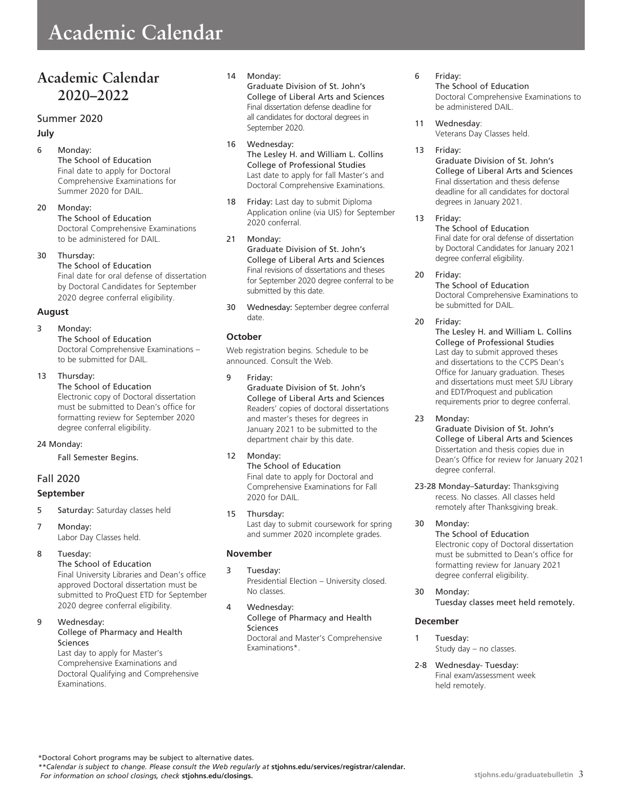# **Academic Calendar**

# **Academic Calendar 2020–2022**

#### Summer 2020 **July**

6 Monday: The School of Education Final date to apply for Doctoral Comprehensive Examinations for Summer 2020 for DAIL.

20 Monday: The School of Education Doctoral Comprehensive Examinations to be administered for DAIL.

30 Thursday: The School of Education Final date for oral defense of dissertation by Doctoral Candidates for September 2020 degree conferral eligibility.

#### **August**

- 3 Monday: The School of Education Doctoral Comprehensive Examinations – to be submitted for DAIL.
- 13 Thursday:

The School of Education Electronic copy of Doctoral dissertation must be submitted to Dean's office for formatting review for September 2020 degree conferral eligibility.

#### 24 Monday:

Fall Semester Begins.

#### Fall 2020

#### **September**

5 Saturday: Saturday classes held

7 Monday: Labor Day Classes held.

#### 8 Tuesday:

The School of Education Final University Libraries and Dean's office approved Doctoral dissertation must be submitted to ProQuest ETD for September 2020 degree conferral eligibility.

9 Wednesday: College of Pharmacy and Health Sciences

Last day to apply for Master's Comprehensive Examinations and Doctoral Qualifying and Comprehensive Examinations.

#### 14 Monday:

Graduate Division of St. John's College of Liberal Arts and Sciences Final dissertation defense deadline for all candidates for doctoral degrees in September 2020.

16 Wednesday:

The Lesley H. and William L. Collins College of Professional Studies Last date to apply for fall Master's and Doctoral Comprehensive Examinations.

- 18 Friday: Last day to submit Diploma Application online (via UIS) for September 2020 conferral.
- 21 Monday: Graduate Division of St. John's College of Liberal Arts and Sciences Final revisions of dissertations and theses for September 2020 degree conferral to be submitted by this date.
- 30 Wednesday: September degree conferral date.

#### **October**

Web registration begins. Schedule to be announced. Consult the Web.

9 Friday:

Graduate Division of St. John's College of Liberal Arts and Sciences Readers' copies of doctoral dissertations and master's theses for degrees in January 2021 to be submitted to the department chair by this date.

12 Monday:

The School of Education Final date to apply for Doctoral and Comprehensive Examinations for Fall 2020 for DAIL.

15 Thursday: Last day to submit coursework for spring and summer 2020 incomplete grades.

#### **November**

- 3 Tuesday: Presidential Election – University closed. No classes.
- 4 Wednesday: College of Pharmacy and Health Sciences Doctoral and Master's Comprehensive Examinations\*.

6 Friday:

The School of Education Doctoral Comprehensive Examinations to be administered DAIL.

11 Wednesday: Veterans Day Classes held.

#### 13 Friday:

Graduate Division of St. John's College of Liberal Arts and Sciences Final dissertation and thesis defense deadline for all candidates for doctoral degrees in January 2021.

#### 13 Friday:

The School of Education Final date for oral defense of dissertation by Doctoral Candidates for January 2021 degree conferral eligibility.

20 Friday:

The School of Education Doctoral Comprehensive Examinations to be submitted for DAIL.

20 Friday:

The Lesley H. and William L. Collins College of Professional Studies Last day to submit approved theses and dissertations to the CCPS Dean's Office for January graduation. Theses and dissertations must meet SJU Library and EDT/Proquest and publication requirements prior to degree conferral.

23 Monday:

Graduate Division of St. John's College of Liberal Arts and Sciences Dissertation and thesis copies due in Dean's Office for review for January 2021 degree conferral.

23-28 Monday–Saturday: Thanksgiving recess. No classes. All classes held remotely after Thanksgiving break.

30 Monday:

The School of Education Electronic copy of Doctoral dissertation must be submitted to Dean's office for formatting review for January 2021 degree conferral eligibility.

30 Monday: Tuesday classes meet held remotely.

#### **December**

- 1 Tuesday: Study day – no classes.
- 2-8 Wednesday- Tuesday: Final exam/assessment week held remotely.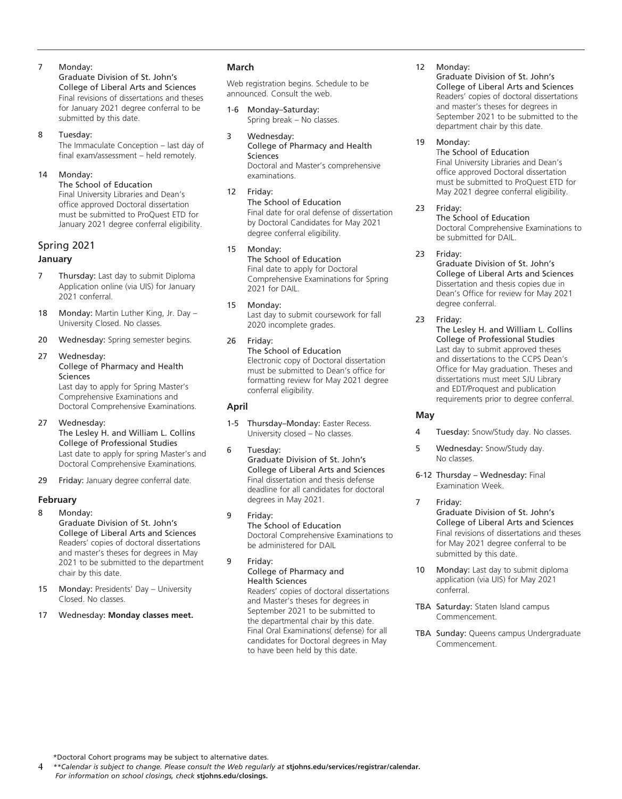Monday:

 Graduate Division of St. John's College of Liberal Arts and Sciences Final revisions of dissertations and theses for January 2021 degree conferral to be submitted by this date.

8 Tuesday:

The Immaculate Conception – last day of final exam/assessment – held remotely.

#### 14 Monday:

The School of Education Final University Libraries and Dean's office approved Doctoral dissertation must be submitted to ProQuest ETD for January 2021 degree conferral eligibility.

# Spring 2021

#### **January**

- 7 Thursday: Last day to submit Diploma Application online (via UIS) for January 2021 conferral.
- 18 Monday: Martin Luther King, Jr. Day -University Closed. No classes.
- 20 Wednesday: Spring semester begins.

#### 27 Wednesday: College of Pharmacy and Health Sciences

Last day to apply for Spring Master's Comprehensive Examinations and Doctoral Comprehensive Examinations.

- 27 Wednesday: The Lesley H. and William L. Collins College of Professional Studies Last date to apply for spring Master's and Doctoral Comprehensive Examinations.
- 29 Friday: January degree conferral date.

#### **February**

- 8 Monday: Graduate Division of St. John's College of Liberal Arts and Sciences Readers' copies of doctoral dissertations and master's theses for degrees in May 2021 to be submitted to the department chair by this date.
- 15 Monday: Presidents' Day University Closed. No classes.
- 17 Wednesday: **Monday classes meet.**

#### **March**

Web registration begins. Schedule to be announced. Consult the web.

- 1-6 Monday–Saturday: Spring break – No classes.
- 3 Wednesday: College of Pharmacy and Health Sciences Doctoral and Master's comprehensive examinations.
- 12 Friday: The School of Education Final date for oral defense of dissertation by Doctoral Candidates for May 2021 degree conferral eligibility.

15 Monday:

The School of Education Final date to apply for Doctoral Comprehensive Examinations for Spring 2021 for DAIL.

- 15 Monday: Last day to submit coursework for fall 2020 incomplete grades.
- 26 Friday:

The School of Education Electronic copy of Doctoral dissertation must be submitted to Dean's office for formatting review for May 2021 degree conferral eligibility.

#### **April**

- 1-5 Thursday–Monday: Easter Recess. University closed – No classes.
- 6 Tuesday:

Graduate Division of St. John's College of Liberal Arts and Sciences Final dissertation and thesis defense deadline for all candidates for doctoral degrees in May 2021.

#### 9 Friday:

The School of Education Doctoral Comprehensive Examinations to be administered for DAIL

#### 9 Friday: College of Pharmacy and Health Sciences

Readers' copies of doctoral dissertations and Master's theses for degrees in September 2021 to be submitted to the departmental chair by this date. Final Oral Examinations( defense) for all candidates for Doctoral degrees in May to have been held by this date.

#### 12 Monday:

Graduate Division of St. John's College of Liberal Arts and Sciences Readers' copies of doctoral dissertations and master's theses for degrees in September 2021 to be submitted to the department chair by this date.

19 Monday:

The School of Education Final University Libraries and Dean's office approved Doctoral dissertation must be submitted to ProQuest ETD for May 2021 degree conferral eligibility.

23 Friday:

The School of Education Doctoral Comprehensive Examinations to be submitted for DAIL.

#### 23 Friday:

Graduate Division of St. John's College of Liberal Arts and Sciences Dissertation and thesis copies due in Dean's Office for review for May 2021 degree conferral.

- 23 Friday:
	- The Lesley H. and William L. Collins College of Professional Studies Last day to submit approved theses and dissertations to the CCPS Dean's Office for May graduation. Theses and dissertations must meet SJU Library and EDT/Proquest and publication requirements prior to degree conferral.

#### **May**

- 4 Tuesday: Snow/Study day. No classes.
- 5 Wednesday: Snow/Study day. No classes.
- 6-12 Thursday Wednesday: Final Examination Week.
- 7 Friday: Graduate Division of St. John's College of Liberal Arts and Sciences Final revisions of dissertations and theses for May 2021 degree conferral to be submitted by this date.
- 10 Monday: Last day to submit diploma application (via UIS) for May 2021 conferral.
- TBA Saturday: Staten Island campus Commencement.
- TBA Sunday: Queens campus Undergraduate Commencement.

\*Doctoral Cohort programs may be subject to alternative dates.

**4** *\*\*Calendar is subject to change. Please consult the Web regularly at* **stjohns.edu/services/registrar/calendar.**  *For information on school closings, check* **stjohns.edu/closings.**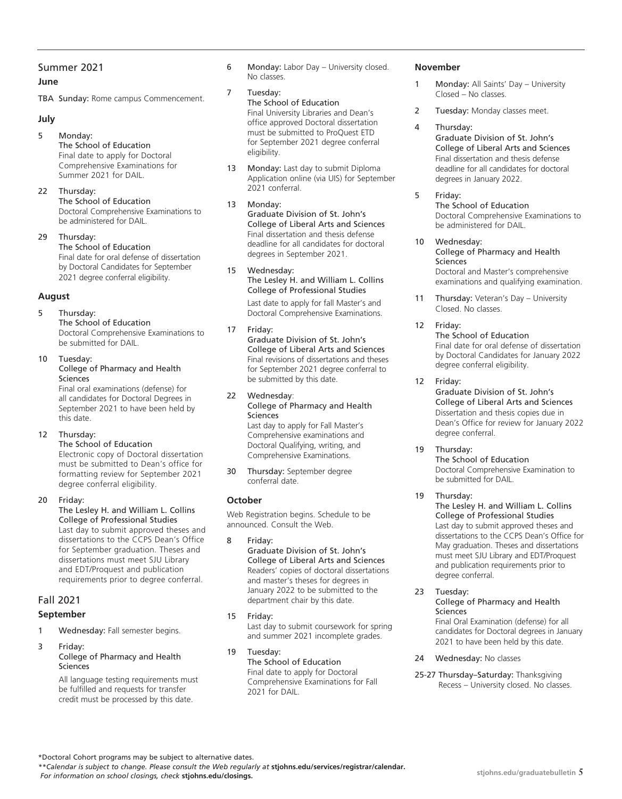#### Summer 2021 **June**

TBA Sunday: Rome campus Commencement.

#### **July**

#### 5 Monday:

The School of Education

Final date to apply for Doctoral Comprehensive Examinations for Summer 2021 for DAIL.

#### 22 Thursday:

The School of Education Doctoral Comprehensive Examinations to be administered for DAIL.

#### 29 Thursday:

The School of Education Final date for oral defense of dissertation by Doctoral Candidates for September 2021 degree conferral eligibility.

#### **August**

- 5 Thursday: The School of Education Doctoral Comprehensive Examinations to be submitted for DAIL.
- 10 Tuesday: College of Pharmacy and Health Sciences

Final oral examinations (defense) for all candidates for Doctoral Degrees in September 2021 to have been held by this date.

12 Thursday:

The School of Education Electronic copy of Doctoral dissertation must be submitted to Dean's office for formatting review for September 2021 degree conferral eligibility.

20 Friday:

The Lesley H. and William L. Collins College of Professional Studies Last day to submit approved theses and dissertations to the CCPS Dean's Office for September graduation. Theses and dissertations must meet SJU Library and EDT/Proquest and publication requirements prior to degree conferral.

#### Fall 2021

#### **September**

1 Wednesday: Fall semester begins.

#### 3 Friday: College of Pharmacy and Health Sciences

All language testing requirements must be fulfilled and requests for transfer credit must be processed by this date.

- 6 Monday: Labor Day University closed. No classes.
- 7 Tuesday: The School of Education Final University Libraries and Dean's office approved Doctoral dissertation must be submitted to ProQuest ETD for September 2021 degree conferral eligibility.
- 13 Monday: Last day to submit Diploma Application online (via UIS) for September 2021 conferral.
- 13 Monday: Graduate Division of St. John's College of Liberal Arts and Sciences Final dissertation and thesis defense deadline for all candidates for doctoral degrees in September 2021.
- 15 Wednesday: The Lesley H. and William L. Collins College of Professional Studies

Last date to apply for fall Master's and Doctoral Comprehensive Examinations.

- 17 Friday: Graduate Division of St. John's College of Liberal Arts and Sciences Final revisions of dissertations and theses for September 2021 degree conferral to be submitted by this date.
- 22 Wednesday: College of Pharmacy and Health Sciences Last day to apply for Fall Master's Comprehensive examinations and Doctoral Qualifying, writing, and Comprehensive Examinations.
- 30 Thursday: September degree conferral date.

#### **October**

Web Registration begins. Schedule to be announced. Consult the Web.

- 8 Friday: Graduate Division of St. John's College of Liberal Arts and Sciences Readers' copies of doctoral dissertations and master's theses for degrees in January 2022 to be submitted to the department chair by this date.
- 15 Friday:

Last day to submit coursework for spring and summer 2021 incomplete grades.

19 Tuesday:

The School of Education Final date to apply for Doctoral Comprehensive Examinations for Fall 2021 for DAIL.

#### **November**

- 1 Monday: All Saints' Day University Closed – No classes.
- 2 Tuesday: Monday classes meet.

#### 4 Thursday:

Graduate Division of St. John's College of Liberal Arts and Sciences Final dissertation and thesis defense deadline for all candidates for doctoral degrees in January 2022.

### 5 Friday:

The School of Education Doctoral Comprehensive Examinations to be administered for DAIL.

#### 10 Wednesday: College of Pharmacy and Health **Sciences**

Doctoral and Master's comprehensive examinations and qualifying examination.

- 11 Thursday: Veteran's Day University Closed. No classes.
- 12 Friday:

The School of Education Final date for oral defense of dissertation

by Doctoral Candidates for January 2022 degree conferral eligibility. 12 Friday:

Graduate Division of St. John's College of Liberal Arts and Sciences Dissertation and thesis copies due in Dean's Office for review for January 2022 degree conferral.

#### 19 Thursday:

The School of Education Doctoral Comprehensive Examination to be submitted for DAIL.

19 Thursday:

The Lesley H. and William L. Collins College of Professional Studies Last day to submit approved theses and dissertations to the CCPS Dean's Office for May graduation. Theses and dissertations must meet SJU Library and EDT/Proquest and publication requirements prior to degree conferral.

#### 23 Tuesday: College of Pharmacy and Health Sciences

Final Oral Examination (defense) for all candidates for Doctoral degrees in January 2021 to have been held by this date.

- 24 Wednesday: No classes
- 25-27 Thursday–Saturday: Thanksgiving Recess – University closed. No classes.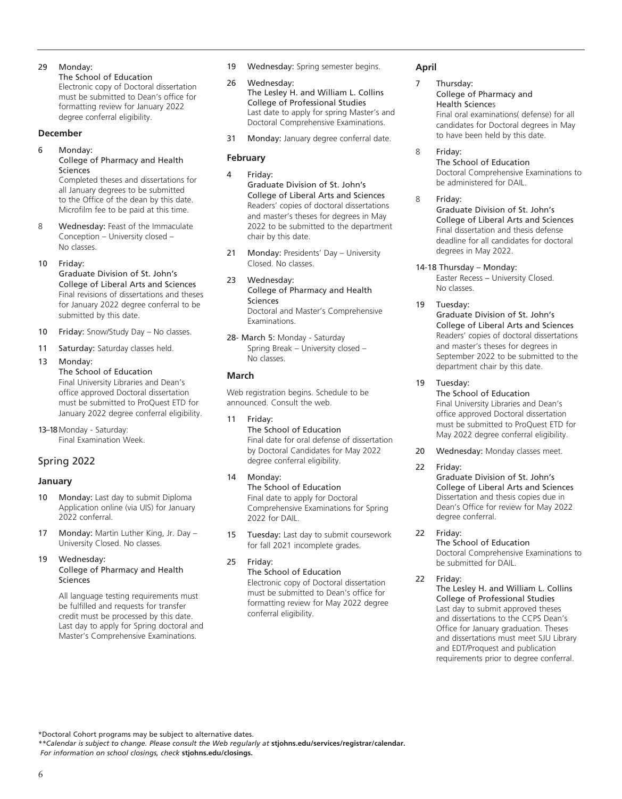#### 29 Monday:

The School of Education Electronic copy of Doctoral dissertation must be submitted to Dean's office for formatting review for January 2022 degree conferral eligibility.

#### **December**

#### 6 Monday: College of Pharmacy and Health Sciences

Completed theses and dissertations for all January degrees to be submitted to the Office of the dean by this date. Microfilm fee to be paid at this time.

- 8 Wednesday: Feast of the Immaculate Conception – University closed – No classes.
- 10 Friday: Graduate Division of St. John's College of Liberal Arts and Sciences Final revisions of dissertations and theses for January 2022 degree conferral to be submitted by this date.
- 10 Friday: Snow/Study Day No classes.
- 11 Saturday: Saturday classes held.

#### 13 Monday:

#### The School of Education Final University Libraries and Dean's office approved Doctoral dissertation must be submitted to ProQuest ETD for January 2022 degree conferral eligibility.

13-18 Monday - Saturday: Final Examination Week.

#### Spring 2022

#### **January**

- 10 Monday: Last day to submit Diploma Application online (via UIS) for January 2022 conferral.
- 17 Monday: Martin Luther King, Jr. Day University Closed. No classes.

19 Wednesday: College of Pharmacy and Health Sciences

> All language testing requirements must be fulfilled and requests for transfer credit must be processed by this date. Last day to apply for Spring doctoral and Master's Comprehensive Examinations.

- 19 Wednesday: Spring semester begins.
- 26 Wednesday: The Lesley H. and William L. Collins College of Professional Studies Last date to apply for spring Master's and Doctoral Comprehensive Examinations.
- 31 Monday: January degree conferral date.

#### **February**

- 4 Friday: Graduate Division of St. John's College of Liberal Arts and Sciences Readers' copies of doctoral dissertations and master's theses for degrees in May 2022 to be submitted to the department chair by this date.
- 21 Monday: Presidents' Day University Closed. No classes.
- 23 Wednesday: College of Pharmacy and Health Sciences Doctoral and Master's Comprehensive Examinations.
- 28- March 5: Monday Saturday Spring Break – University closed – No classes.

#### **March**

Web registration begins. Schedule to be announced. Consult the web.

- 11 Friday: The School of Education Final date for oral defense of dissertation by Doctoral Candidates for May 2022 degree conferral eligibility.
- 14 Monday:

The School of Education Final date to apply for Doctoral Comprehensive Examinations for Spring 2022 for DAIL.

- 15 Tuesday: Last day to submit coursework for fall 2021 incomplete grades.
- 25 Friday: The School of Education Electronic copy of Doctoral dissertation

must be submitted to Dean's office for formatting review for May 2022 degree conferral eligibility.

#### **April**

7 Thursday: College of Pharmacy and Health Sciences Final oral examinations( defense) for all candidates for Doctoral degrees in May to have been held by this date.

#### 8 Friday:

The School of Education Doctoral Comprehensive Examinations to be administered for DAIL.

- 8 Friday: Graduate Division of St. John's College of Liberal Arts and Sciences Final dissertation and thesis defense deadline for all candidates for doctoral degrees in May 2022.
- 14-18 Thursday Monday:

Easter Recess – University Closed. No classes.

19 Tuesday:

Graduate Division of St. John's College of Liberal Arts and Sciences Readers' copies of doctoral dissertations and master's theses for degrees in September 2022 to be submitted to the department chair by this date.

19 Tuesday:

The School of Education Final University Libraries and Dean's office approved Doctoral dissertation must be submitted to ProQuest ETD for May 2022 degree conferral eligibility.

- 20 Wednesday: Monday classes meet.
- 22 Friday:

Graduate Division of St. John's College of Liberal Arts and Sciences Dissertation and thesis copies due in Dean's Office for review for May 2022 degree conferral.

#### 22 Friday:

The School of Education Doctoral Comprehensive Examinations to be submitted for DAIL.

22 Friday:

The Lesley H. and William L. Collins College of Professional Studies Last day to submit approved theses and dissertations to the CCPS Dean's Office for January graduation. Theses and dissertations must meet SJU Library and EDT/Proquest and publication requirements prior to degree conferral.

\*Doctoral Cohort programs may be subject to alternative dates.

*\*\*Calendar is subject to change. Please consult the Web regularly at* **stjohns.edu/services/registrar/calendar.**  *For information on school closings, check* **stjohns.edu/closings.**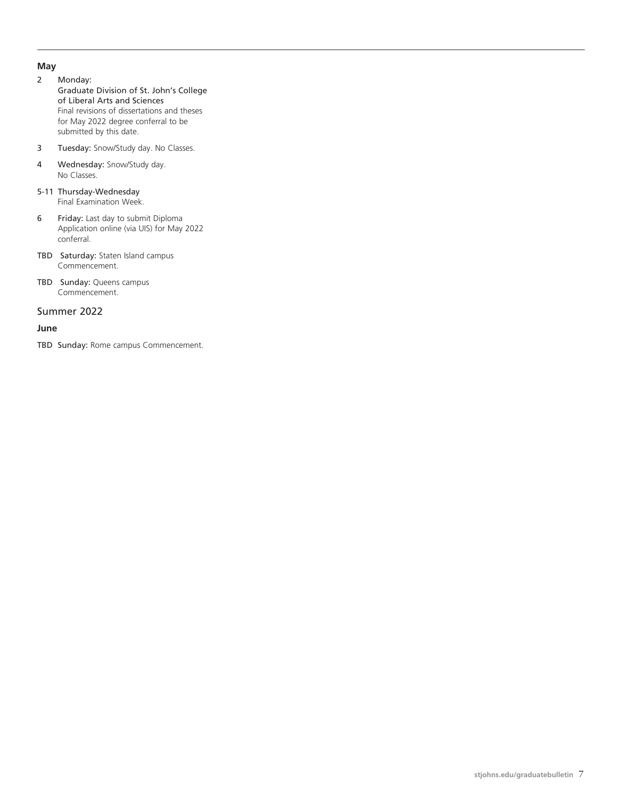#### **May**

- 2 Monday: Graduate Division of St. John's College of Liberal Arts and Sciences Final revisions of dissertations and theses for May 2022 degree conferral to be submitted by this date.
- 3 Tuesday: Snow/Study day. No Classes.
- 4 Wednesday: Snow/Study day. No Classes.
- 5-11 Thursday-Wednesday Final Examination Week.
- 6 Friday: Last day to submit Diploma Application online (via UIS) for May 2022 conferral.
- TBD Saturday: Staten Island campus Commencement.
- TBD Sunday: Queens campus Commencement.

#### Summer 2022

#### **June**

TBD Sunday: Rome campus Commencement.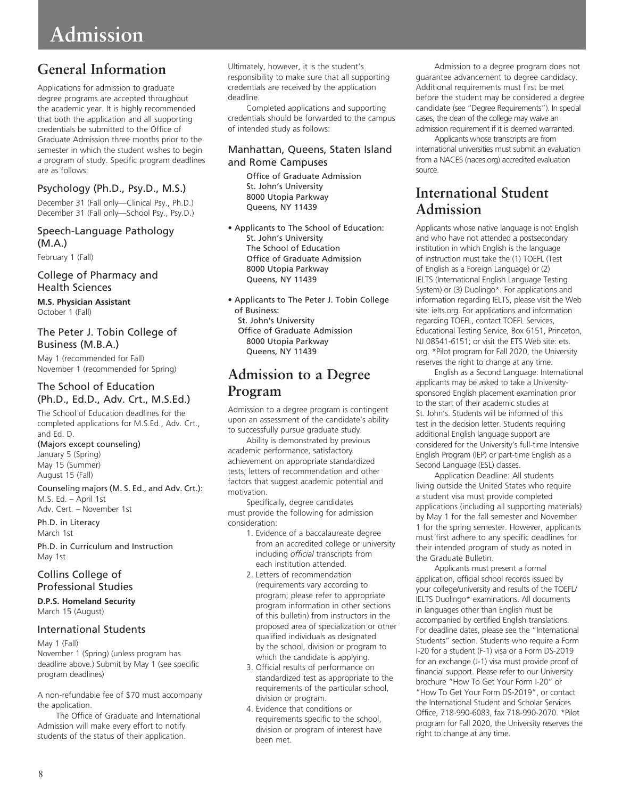# **General Information**

Applications for admission to graduate degree programs are accepted throughout the academic year. It is highly recommended that both the application and all supporting credentials be submitted to the Office of Graduate Admission three months prior to the semester in which the student wishes to begin a program of study. Specific program deadlines are as follows:

#### Psychology (Ph.D., Psy.D., M.S.)

December 31 (Fall only—Clinical Psy., Ph.D.) December 31 (Fall only—School Psy., Psy.D.)

#### Speech-Language Pathology (M.A.)

February 1 (Fall)

#### College of Pharmacy and Health Sciences

**M.S. Physician Assistant** October 1 (Fall)

#### The Peter J. Tobin College of Business (M.B.A.)

May 1 (recommended for Fall) November 1 (recommended for Spring)

#### The School of Education (Ph.D., Ed.D., Adv. Crt., M.S.Ed.)

The School of Education deadlines for the completed applications for M.S.Ed., Adv. Crt., and Ed. D.

(Majors except counseling) January 5 (Spring) May 15 (Summer) August 15 (Fall)

Counseling majors (M. S. Ed., and Adv. Crt.): M.S. Ed. – April 1st Adv. Cert. – November 1st

Ph.D. in Literacy March 1st

Ph.D. in Curriculum and Instruction May 1st

#### Collins College of Professional Studies

**D.P.S. Homeland Security** March 15 (August)

#### International Students

May 1 (Fall) November 1 (Spring) (unless program has deadline above.) Submit by May 1 (see specific program deadlines)

A non-refundable fee of \$70 must accompany the application.

The Office of Graduate and International Admission will make every effort to notify students of the status of their application.

Ultimately, however, it is the student's responsibility to make sure that all supporting credentials are received by the application deadline.

Completed applications and supporting credentials should be forwarded to the campus of intended study as follows:

#### Manhattan, Queens, Staten Island and Rome Campuses

Office of Graduate Admission St. John's University 8000 Utopia Parkway Queens, NY 11439

• Applicants to The School of Education: St. John's University The School of Education Office of Graduate Admission 8000 Utopia Parkway Queens, NY 11439

• Applicants to The Peter J. Tobin College of Business: St. John's University Office of Graduate Admission 8000 Utopia Parkway Queens, NY 11439

### **Admission to a Degree Program**

Admission to a degree program is contingent upon an assessment of the candidate's ability to successfully pursue graduate study.

Ability is demonstrated by previous academic performance, satisfactory achievement on appropriate standardized tests, letters of recommendation and other factors that suggest academic potential and motivation.

Specifically, degree candidates must provide the following for admission consideration:

- 1. Evidence of a baccalaureate degree from an accredited college or university including *official* transcripts from each institution attended.
- 2. Letters of recommendation (requirements vary according to program; please refer to appropriate program information in other sections of this bulletin) from instructors in the proposed area of specialization or other qualified individuals as designated by the school, division or program to which the candidate is applying.
- 3. Official results of performance on standardized test as appropriate to the requirements of the particular school, division or program.
- 4. Evidence that conditions or requirements specific to the school, division or program of interest have been met.

Admission to a degree program does not guarantee advancement to degree candidacy. Additional requirements must first be met before the student may be considered a degree candidate (see "Degree Requirements"). In special cases, the dean of the college may waive an admission requirement if it is deemed warranted.

Applicants whose transcripts are from international universities must submit an evaluation from a NACES (naces.org) accredited evaluation source.

# **International Student Admission**

Applicants whose native language is not English and who have not attended a postsecondary institution in which English is the language of instruction must take the (1) TOEFL (Test of English as a Foreign Language) or (2) IELTS (International English Language Testing System) or (3) Duolingo\*. For applications and information regarding IELTS, please visit the Web site: ielts.org. For applications and information regarding TOEFL, contact TOEFL Services, Educational Testing Service, Box 6151, Princeton, NJ 08541-6151; or visit the ETS Web site: ets. org. \*Pilot program for Fall 2020, the University reserves the right to change at any time.

English as a Second Language: International applicants may be asked to take a Universitysponsored English placement examination prior to the start of their academic studies at St. John's. Students will be informed of this test in the decision letter. Students requiring additional English language support are considered for the University's full-time Intensive English Program (IEP) or part-time English as a Second Language (ESL) classes.

Application Deadline: All students living outside the United States who require a student visa must provide completed applications (including all supporting materials) by May 1 for the fall semester and November 1 for the spring semester. However, applicants must first adhere to any specific deadlines for their intended program of study as noted in the Graduate Bulletin.

Applicants must present a formal application, official school records issued by your college/university and results of the TOEFL/ IELTS Duolingo\* examinations. All documents in languages other than English must be accompanied by certified English translations. For deadline dates, please see the "International Students" section. Students who require a Form I-20 for a student (F-1) visa or a Form DS-2019 for an exchange (J-1) visa must provide proof of financial support. Please refer to our University brochure "How To Get Your Form I-20" or "How To Get Your Form DS-2019", or contact the International Student and Scholar Services Office, 718-990-6083, fax 718-990-2070. \*Pilot program for Fall 2020, the University reserves the right to change at any time.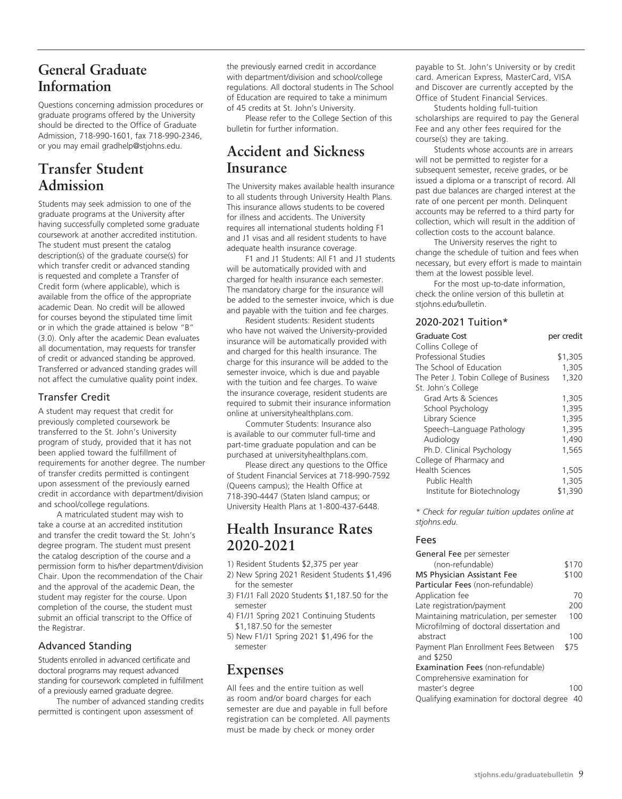# **General Graduate Information**

Questions concerning admission procedures or graduate programs offered by the University should be directed to the Office of Graduate Admission, 718-990-1601, fax 718-990-2346, or you may email gradhelp@stjohns.edu.

# **Transfer Student Admission**

Students may seek admission to one of the graduate programs at the University after having successfully completed some graduate coursework at another accredited institution. The student must present the catalog description(s) of the graduate course(s) for which transfer credit or advanced standing is requested and complete a Transfer of Credit form (where applicable), which is available from the office of the appropriate academic Dean. No credit will be allowed for courses beyond the stipulated time limit or in which the grade attained is below "B" (3.0). Only after the academic Dean evaluates all documentation, may requests for transfer of credit or advanced standing be approved. Transferred or advanced standing grades will not affect the cumulative quality point index.

#### Transfer Credit

A student may request that credit for previously completed coursework be transferred to the St. John's University program of study, provided that it has not been applied toward the fulfillment of requirements for another degree. The number of transfer credits permitted is contingent upon assessment of the previously earned credit in accordance with department/division and school/college regulations.

A matriculated student may wish to take a course at an accredited institution and transfer the credit toward the St. John's degree program. The student must present the catalog description of the course and a permission form to his/her department/division Chair. Upon the recommendation of the Chair and the approval of the academic Dean, the student may register for the course. Upon completion of the course, the student must submit an official transcript to the Office of the Registrar.

#### Advanced Standing

Students enrolled in advanced certificate and doctoral programs may request advanced standing for coursework completed in fulfillment of a previously earned graduate degree.

The number of advanced standing credits permitted is contingent upon assessment of

the previously earned credit in accordance with department/division and school/college regulations. All doctoral students in The School of Education are required to take a minimum of 45 credits at St. John's University.

Please refer to the College Section of this bulletin for further information.

### **Accident and Sickness Insurance**

The University makes available health insurance to all students through University Health Plans. This insurance allows students to be covered for illness and accidents. The University requires all international students holding F1 and J1 visas and all resident students to have adequate health insurance coverage.

F1 and J1 Students: All F1 and J1 students will be automatically provided with and charged for health insurance each semester. The mandatory charge for the insurance will be added to the semester invoice, which is due and payable with the tuition and fee charges.

Resident students: Resident students who have not waived the University-provided insurance will be automatically provided with and charged for this health insurance. The charge for this insurance will be added to the semester invoice, which is due and payable with the tuition and fee charges. To waive the insurance coverage, resident students are required to submit their insurance information online at universityhealthplans.com.

Commuter Students: Insurance also is available to our commuter full-time and part-time graduate population and can be purchased at universityhealthplans.com.

Please direct any questions to the Office of Student Financial Services at 718-990-7592 (Queens campus); the Health Office at 718-390-4447 (Staten Island campus; or University Health Plans at 1-800-437-6448.

### **Health Insurance Rates 2020-2021**

1) Resident Students \$2,375 per year

- 2) New Spring 2021 Resident Students \$1,496 for the semester
- 3) F1/J1 Fall 2020 Students \$1,187.50 for the semester
- 4) F1/J1 Spring 2021 Continuing Students \$1,187.50 for the semester
- 5) New F1/J1 Spring 2021 \$1,496 for the semester

### **Expenses**

All fees and the entire tuition as well as room and/or board charges for each semester are due and payable in full before registration can be completed. All payments must be made by check or money order

payable to St. John's University or by credit card. American Express, MasterCard, VISA and Discover are currently accepted by the Office of Student Financial Services.

Students holding full-tuition scholarships are required to pay the General Fee and any other fees required for the course(s) they are taking.

Students whose accounts are in arrears will not be permitted to register for a subsequent semester, receive grades, or be issued a diploma or a transcript of record. All past due balances are charged interest at the rate of one percent per month. Delinquent accounts may be referred to a third party for collection, which will result in the addition of collection costs to the account balance.

The University reserves the right to change the schedule of tuition and fees when necessary, but every effort is made to maintain them at the lowest possible level.

For the most up-to-date information, check the online version of this bulletin at stjohns.edu/bulletin.

#### 2020-2021 Tuition\*

| Graduate Cost                          | per credit |
|----------------------------------------|------------|
| Collins College of                     |            |
| Professional Studies                   | \$1,305    |
| The School of Education                | 1,305      |
| The Peter J. Tobin College of Business | 1,320      |
| St. John's College                     |            |
| Grad Arts & Sciences                   | 1,305      |
| School Psychology                      | 1,395      |
| Library Science                        | 1.395      |
| Speech-Language Pathology              | 1,395      |
| Audiology                              | 1,490      |
| Ph.D. Clinical Psychology              | 1,565      |
| College of Pharmacy and                |            |
| <b>Health Sciences</b>                 | 1,505      |
| Public Health                          | 1,305      |
| Institute for Biotechnology            | \$1,390    |

*\* Check for regular tuition updates online at stjohns.edu.* 

#### Fees

| General Fee per semester                   |       |
|--------------------------------------------|-------|
| (non-refundable)                           | \$170 |
| <b>MS Physician Assistant Fee</b>          | \$100 |
| Particular Fees (non-refundable)           |       |
| Application fee                            | 70    |
| Late registration/payment                  | 200   |
| Maintaining matriculation, per semester    | 100   |
| Microfilming of doctoral dissertation and  |       |
| abstract                                   | 100   |
| Payment Plan Enrollment Fees Between       | \$75  |
| and \$250                                  |       |
| <b>Examination Fees (non-refundable)</b>   |       |
| Comprehensive examination for              |       |
| master's degree                            | 100   |
| Qualifying examination for doctoral degree | 40    |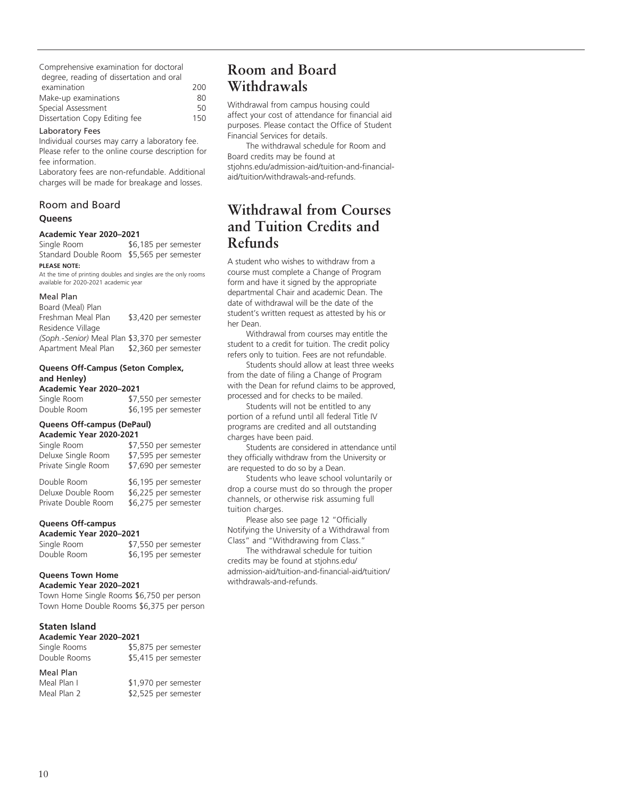| Comprehensive examination for doctoral   |     |
|------------------------------------------|-----|
| degree, reading of dissertation and oral |     |
| examination                              | 200 |
| Make-up examinations                     | 80  |
| Special Assessment                       | 50  |
| Dissertation Copy Editing fee            | 150 |

#### Laboratory Fees

Individual courses may carry a laboratory fee. Please refer to the online course description for fee information.

Laboratory fees are non-refundable. Additional charges will be made for breakage and losses.

#### Room and Board

#### **Queens**

#### **Academic Year 2020–2021**

Single Room \$6,185 per semester Standard Double Room \$5,565 per semester **PLEASE NOTE:**

At the time of printing doubles and singles are the only rooms available for 2020-2021 academic year

#### Meal Plan

| Board (Meal) Plan                             |                      |
|-----------------------------------------------|----------------------|
| Freshman Meal Plan                            | \$3,420 per semester |
| Residence Village                             |                      |
| (Soph.-Senior) Meal Plan \$3,370 per semester |                      |
| Apartment Meal Plan                           | \$2,360 per semester |

#### **Queens Off-Campus (Seton Complex, and Henley)**

#### **Academic Year 2020–2021**

| Single Room | \$7,550 per semester |
|-------------|----------------------|
| Double Room | \$6,195 per semester |

#### **Queens Off-campus (DePaul) Academic Year 2020-2021**

| Single Room         | \$7,550 per semester |
|---------------------|----------------------|
| Deluxe Single Room  | \$7,595 per semester |
| Private Single Room | \$7,690 per semester |
| Double Room         | \$6,195 per semester |
| Deluxe Double Room  | \$6,225 per semester |
| Private Double Room | \$6,275 per semester |

#### **Queens Off-campus**

#### **Academic Year 2020–2021**

| Single Room | \$7,550 per semester |
|-------------|----------------------|
| Double Room | \$6,195 per semester |

### **Queens Town Home**

**Academic Year 2020–2021** Town Home Single Rooms \$6,750 per person Town Home Double Rooms \$6,375 per person

#### **Staten Island**

#### **Academic Year 2020–2021**

| Single Rooms | \$5,875 per semester |
|--------------|----------------------|
| Double Rooms | \$5,415 per semester |

#### Meal Plan

| Meal Plan I | \$1,970 per semester |
|-------------|----------------------|
| Meal Plan 2 | \$2,525 per semester |

### **Room and Board Withdrawals**

Withdrawal from campus housing could affect your cost of attendance for financial aid purposes. Please contact the Office of Student Financial Services for details.

The withdrawal schedule for Room and Board credits may be found at stjohns.edu/admission-aid/tuition-and-financialaid/tuition/withdrawals-and-refunds.

### **Withdrawal from Courses and Tuition Credits and Refunds**

A student who wishes to withdraw from a course must complete a Change of Program form and have it signed by the appropriate departmental Chair and academic Dean. The date of withdrawal will be the date of the student's written request as attested by his or her Dean.

Withdrawal from courses may entitle the student to a credit for tuition. The credit policy refers only to tuition. Fees are not refundable.

Students should allow at least three weeks from the date of filing a Change of Program with the Dean for refund claims to be approved, processed and for checks to be mailed.

Students will not be entitled to any portion of a refund until all federal Title IV programs are credited and all outstanding charges have been paid.

Students are considered in attendance until they officially withdraw from the University or are requested to do so by a Dean.

Students who leave school voluntarily or drop a course must do so through the proper channels, or otherwise risk assuming full tuition charges.

Please also see page 12 "Officially Notifying the University of a Withdrawal from Class" and "Withdrawing from Class."

The withdrawal schedule for tuition credits may be found at stjohns.edu/ admission-aid/tuition-and-financial-aid/tuition/ withdrawals-and-refunds.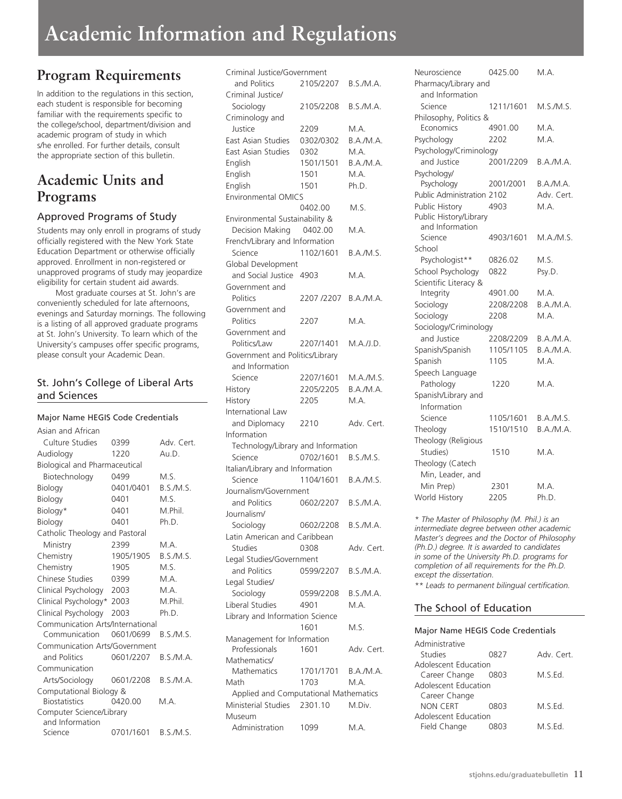# **Program Requirements**

In addition to the regulations in this section, each student is responsible for becoming familiar with the requirements specific to the college/school, department/division and academic program of study in which s/he enrolled. For further details, consult the appropriate section of this bulletin.

# **Academic Units and Programs**

#### Approved Programs of Study

Students may only enroll in programs of study officially registered with the New York State Education Department or otherwise officially approved. Enrollment in non-registered or unapproved programs of study may jeopardize eligibility for certain student aid awards.

Most graduate courses at St. John's are conveniently scheduled for late afternoons, evenings and Saturday mornings. The following is a listing of all approved graduate programs at St. John's University. To learn which of the University's campuses offer specific programs, please consult your Academic Dean.

#### St. John's College of Liberal Arts and Sciences

#### Major Name HEGIS Code Credentials

| Asian and African                |           |                  |
|----------------------------------|-----------|------------------|
| Culture Studies                  | 0399      | Adv. Cert.       |
| Audiology                        | 1220      | Au.D.            |
| Biological and Pharmaceutical    |           |                  |
| Biotechnology                    | 0499      | M.S.             |
| Biology                          | 0401/0401 | <b>B.S./M.S.</b> |
| Biology                          | 0401      | M.S.             |
| Biology*                         | 0401      | M.Phil.          |
| Biology                          | 0401      | Ph.D.            |
| Catholic Theology and Pastoral   |           |                  |
| Ministry                         | 2399      | M.A.             |
| Chemistry                        | 1905/1905 | B.S.M.S.         |
| Chemistry                        | 1905      | M.S.             |
| Chinese Studies                  | 0399      | M A              |
| Clinical Psychology              | 2003      | M.A.             |
| Clinical Psychology*             | 2003      | M.Phil.          |
| Clinical Psychology              | 2003      | Ph.D.            |
| Communication Arts/International |           |                  |
| Communication                    | 0601/0699 | <b>B.S./M.S.</b> |
| Communication Arts/Government    |           |                  |
| and Politics                     | 0601/2207 | B.S.M.A.         |
| Communication                    |           |                  |
| Arts/Sociology                   | 0601/2208 | <b>B.S./M.A.</b> |
| Computational Biology &          |           |                  |
| <b>Biostatistics</b>             | 0420.00   | M A              |
| Computer Science/Library         |           |                  |
| and Information                  |           | B.S.M.S.         |
| Science                          | 0701/1601 |                  |

| Criminal Justice/Government              |           |                  |
|------------------------------------------|-----------|------------------|
| and Politics                             | 2105/2207 | <b>B.S./M.A.</b> |
| Criminal Justice/                        |           |                  |
| Sociology                                | 2105/2208 | <b>B.S./M.A.</b> |
| Criminology and                          |           |                  |
| Justice                                  | 2209      | M.A.             |
| <b>East Asian Studies</b>                | 0302/0302 | B.A.M.A.         |
| East Asian Studies                       | 0302      | M.A.             |
| English                                  | 1501/1501 | B.A./M.A.        |
| English                                  | 1501      | M.A.             |
| English                                  | 1501      | Ph.D.            |
| <b>Environmental OMICS</b>               |           |                  |
|                                          | 0402.00   | M.S.             |
| Environmental Sustainability &           |           |                  |
| Decision Making                          | 0402.00   | M.A.             |
| French/Library and Information           |           |                  |
| Science                                  | 1102/1601 | <b>B.A./M.S.</b> |
| Global Development                       |           |                  |
| and Social Justice 4903                  |           | M.A.             |
| Government and                           |           |                  |
| Politics                                 | 2207/2207 | <b>B.A./M.A.</b> |
| Government and                           |           |                  |
| Politics                                 | 2207      | M.A.             |
| Government and                           |           |                  |
| Politics/Law                             | 2207/1401 | M.A./J.D.        |
| Government and Politics/Library          |           |                  |
| and Information                          |           |                  |
|                                          |           |                  |
| Science                                  | 2207/1601 | M.A./M.S.        |
| History                                  | 2205/2205 | <b>B.A./M.A.</b> |
|                                          |           |                  |
| History                                  | 2205      | M.A.             |
| International Law                        |           |                  |
| and Diplomacy                            | 2210      | Adv. Cert.       |
| Information                              |           |                  |
| Technology/Library and Information       |           |                  |
| Science                                  | 0702/1601 | B.S./M.S.        |
| Italian/Library and Information          |           |                  |
| Science                                  | 1104/1601 | B.A.M.S.         |
| Journalism/Government                    |           |                  |
| and Politics                             | 0602/2207 | B.S.M.A.         |
| Journalism/                              |           |                  |
| Sociology                                | 0602/2208 | <b>B.S./M.A.</b> |
| Latin American and Caribbean             |           |                  |
| Studies                                  | 0308      | Adv. Cert.       |
|                                          |           |                  |
| Legal Studies/Government<br>and Politics | 0599/2207 | B.S.M.A.         |
|                                          |           |                  |
| Legal Studies/                           |           | <b>B.S./M.A.</b> |
| Sociology                                | 0599/2208 |                  |
| Liberal Studies                          | 4901      | M.A.             |
| Library and Information Science          | 1601      | M.S.             |
| Management for Information               |           |                  |
| Professionals                            | 1601      | Adv. Cert.       |
| Mathematics/                             |           |                  |
| Mathematics                              | 1701/1701 | <b>B.A./M.A.</b> |
| Math                                     | 1703      | M.A.             |
| Applied and Computational Mathematics    |           |                  |
| Ministerial Studies 2301.10              |           | M.Div.           |
| Museum                                   |           |                  |

| Neuroscience<br>Pharmacy/Library and | 0425.00   | M.A.             |
|--------------------------------------|-----------|------------------|
| and Information                      |           |                  |
| Science                              | 1211/1601 | M.S./M.S.        |
| Philosophy, Politics &               |           |                  |
| Economics                            | 4901.00   | M.A.             |
| Psychology                           | 2202      | M.A.             |
| Psychology/Criminology               |           |                  |
| and Justice                          | 2001/2209 | B.A.M.A.         |
| Psychology/                          |           |                  |
| Psychology                           | 2001/2001 | <b>B.A./M.A.</b> |
| Public Administration 2102           |           | Adv. Cert.       |
| Public History                       | 4903      | M.A.             |
| Public History/Library               |           |                  |
| and Information                      |           |                  |
| Science                              | 4903/1601 | M.A./M.S.        |
| School                               |           |                  |
| Psychologist**                       | 0826.02   | M.S.             |
| School Psychology                    | 0822      | Psy.D.           |
| Scientific Literacy &                |           |                  |
| Integrity                            | 4901.00   | M.A.             |
| Sociology                            | 2208/2208 | <b>B.A./M.A.</b> |
| Sociology                            | 2208      | M.A.             |
| Sociology/Criminology                |           |                  |
| and Justice                          | 2208/2209 | B.A./M.A.        |
| Spanish/Spanish                      | 1105/1105 | <b>B.A./M.A.</b> |
| Spanish                              | 1105      | M.A.             |
| Speech Language                      |           |                  |
| Pathology                            | 1220      | M.A.             |
| Spanish/Library and                  |           |                  |
| Information                          |           |                  |
| Science                              | 1105/1601 | <b>B.A./M.S.</b> |
| Theology                             | 1510/1510 | <b>B.A./M.A.</b> |
| Theology (Religious                  |           |                  |
| Studies)                             | 1510      | M.A.             |
| Theology (Catech                     |           |                  |
| Min, Leader, and                     |           |                  |
| Min Prep)                            | 2301      | M.A.             |
| World History                        | 2205      | Ph.D.            |

*\* The Master of Philosophy (M. Phil.) is an intermediate degree between other academic Master's degrees and the Doctor of Philosophy (Ph.D.) degree. It is awarded to candidates in some of the University Ph.D. programs for completion of all requirements for the Ph.D. except the dissertation.*

*\*\* Leads to permanent bilingual certification.*

#### The School of Education

#### Major Name HEGIS Code Credentials

| Administrative       |          |  |  |
|----------------------|----------|--|--|
| 0827                 | Adv Cert |  |  |
| Adolescent Education |          |  |  |
| Career Change 0803   | M.S.Ed.  |  |  |
| Adolescent Education |          |  |  |
|                      |          |  |  |
| 0803                 | M.S.Ed.  |  |  |
| Adolescent Education |          |  |  |
| 13                   | M S Ed   |  |  |
|                      |          |  |  |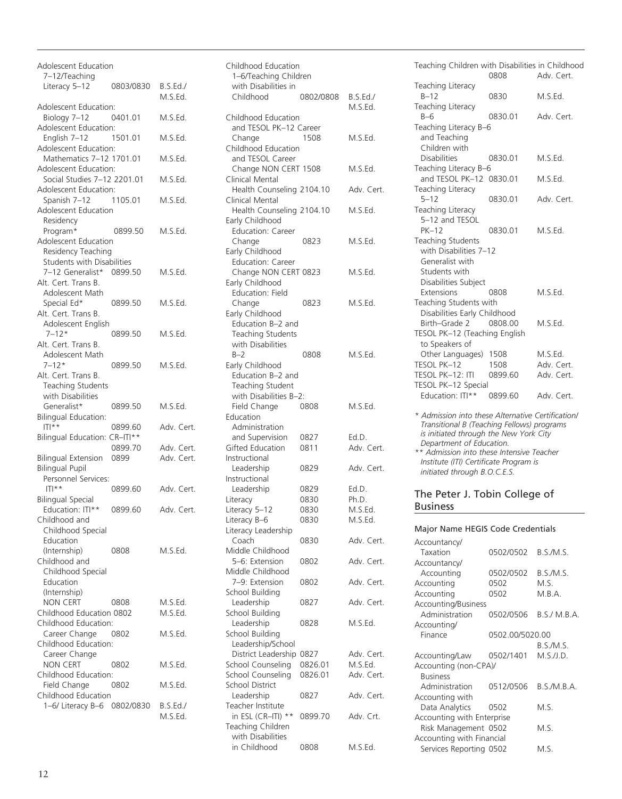| Adolescent Education          |           |            |
|-------------------------------|-----------|------------|
| 7–12/Teaching                 |           |            |
| Literacy 5-12                 | 0803/0830 | B.S.Ed./   |
|                               |           | M.S.Ed.    |
| Adolescent Education:         |           |            |
| Biology 7-12                  | 0401.01   | M.S.Ed.    |
| Adolescent Education:         |           |            |
| English 7-12                  | 1501.01   | M.S.Ed.    |
| Adolescent Education:         |           |            |
| Mathematics 7-12 1701.01      |           | M.S.Ed.    |
| Adolescent Education:         |           |            |
| Social Studies 7-12 2201.01   |           | M.S.Ed.    |
| Adolescent Education:         |           |            |
| Spanish 7-12                  | 1105.01   | M.S.Ed.    |
| Adolescent Education          |           |            |
| Residency                     |           |            |
| Program*                      | 0899.50   | M.S.Ed.    |
| <b>Adolescent Education</b>   |           |            |
| Residency Teaching            |           |            |
| Students with Disabilities    |           |            |
| 7-12 Generalist* 0899.50      |           | M.S.Ed.    |
| Alt. Cert. Trans B.           |           |            |
| Adolescent Math               |           |            |
| Special Ed*                   | 0899.50   | M.S.Ed.    |
| Alt. Cert. Trans B.           |           |            |
| Adolescent English            |           |            |
| $7 - 12*$                     | 0899.50   | M.S.Ed.    |
| Alt. Cert. Trans B.           |           |            |
| Adolescent Math               |           |            |
| $7 - 12*$                     | 0899.50   | M.S.Ed.    |
| Alt. Cert. Trans B.           |           |            |
| Teaching Students             |           |            |
| with Disabilities             |           |            |
| Generalist*                   | 0899.50   | M.S.Ed.    |
| <b>Bilingual Education:</b>   |           |            |
| $ T $ **                      | 0899.60   | Adv. Cert. |
| Bilingual Education: CR-ITI** |           |            |
|                               | 0899.70   | Adv. Cert. |
| <b>Bilingual Extension</b>    | 0899      | Adv. Cert. |
| <b>Bilingual Pupil</b>        |           |            |
| Personnel Services:           |           |            |
| $ T $ **                      | 0899.60   | Adv. Cert. |
| <b>Bilingual Special</b>      |           |            |
| Education: ITI**              | 0899.60   | Adv. Cert. |
| Childhood and                 |           |            |
| Childhood Special             |           |            |
| Education                     |           |            |
| (Internship)                  | 0808      | M.S.Ed.    |
| Childhood and                 |           |            |
| Childhood Special             |           |            |
| Education                     |           |            |
| (Internship)                  |           |            |
| NON CERT                      | 0808      | M.S.Ed.    |
| Childhood Education 0802      |           | M.S.Ed.    |
| Childhood Education:          |           |            |
| Career Change                 | 0802      | M.S.Ed.    |
| Childhood Education:          |           |            |
| Career Change                 |           |            |
| NON CERT                      | 0802      | M.S.Ed.    |
| Childhood Education:          |           |            |
| Field Change                  | 0802      | M.S.Ed.    |
| Childhood Education           |           |            |
| 1-6/ Literacy B-6 0802/0830   |           | B.S.Ed./   |
|                               |           | M.S.Ed.    |

| Childhood Education<br>1-6/Teaching Children<br>with Disabilities in |              |                     |
|----------------------------------------------------------------------|--------------|---------------------|
| Childhood                                                            | 0802/0808    | B.S.Ed./<br>M.S.Ed. |
| Childhood Education                                                  |              |                     |
| and TESOL PK-12 Career                                               |              |                     |
| Change                                                               | 1508         | M.S.Ed.             |
| Childhood Education                                                  |              |                     |
| and TESOL Career                                                     |              |                     |
| Change NON CERT 1508                                                 |              | M.S.Ed.             |
| Clinical Mental                                                      |              |                     |
| Health Counseling 2104.10                                            |              | Adv. Cert.          |
| Clinical Mental                                                      |              |                     |
| Health Counseling 2104.10                                            |              | M.S.Ed.             |
| Early Childhood                                                      |              |                     |
| <b>Education: Career</b>                                             |              |                     |
| Change                                                               | 0823         | M.S.Ed.             |
| Early Childhood                                                      |              |                     |
| <b>Education: Career</b>                                             |              |                     |
| Change NON CERT 0823                                                 |              | M.S.Ed.             |
| Early Childhood                                                      |              |                     |
| Education: Field                                                     |              |                     |
| Change                                                               | 0823         | M.S.Ed.             |
| Early Childhood                                                      |              |                     |
| Education B-2 and                                                    |              |                     |
| Teaching Students                                                    |              |                     |
| with Disabilities                                                    |              |                     |
| $B-2$                                                                | 0808         | M.S.Ed.             |
| Early Childhood                                                      |              |                     |
| Education B-2 and                                                    |              |                     |
| Teaching Student                                                     |              |                     |
| with Disabilities B-2:                                               |              |                     |
| Field Change                                                         | 0808         | M.S.Ed.             |
| Education                                                            |              |                     |
| Administration                                                       |              |                     |
| and Supervision<br>Gifted Education                                  | 0827         | Ed.D.<br>Adv. Cert. |
| Instructional                                                        | 0811         |                     |
|                                                                      |              |                     |
| Leadership<br>Instructional                                          | 0829         | Adv. Cert.          |
|                                                                      |              |                     |
| Leadership                                                           | 0829<br>0830 | Ed.D.<br>Ph.D.      |
| Literacy<br>Literacy 5-12                                            | 0830         | M.S.Ed.             |
|                                                                      | 0830         | M.S.Ed.             |
| Literacy B-6<br>Literacy Leadership                                  |              |                     |
| Coach                                                                | 0830         | Adv. Cert.          |
| Middle Childhood                                                     |              |                     |
| 5-6: Extension                                                       | 0802         | Adv. Cert.          |
| Middle Childhood                                                     |              |                     |
| 7-9: Extension                                                       | 0802         | Adv. Cert.          |
| School Building                                                      |              |                     |
| Leadership                                                           | 0827         | Adv. Cert.          |
| School Building                                                      |              |                     |
| Leadership                                                           | 0828         | M.S.Ed.             |
| School Building                                                      |              |                     |
| Leadership/School                                                    |              |                     |
| District Leadership                                                  | 0827         | Adv. Cert.          |
| School Counseling                                                    | 0826.01      | M.S.Ed.             |
| School Counseling                                                    | 0826.01      | Adv. Cert.          |
| School District                                                      |              |                     |
| Leadership                                                           | 0827         | Adv. Cert.          |
| Teacher Institute                                                    |              |                     |
| in ESL (CR-ITI) **                                                   | 0899.70      | Adv. Crt.           |
| Teaching Children                                                    |              |                     |
| with Disabilities                                                    |              |                     |
| in Childhood                                                         | 0808         | M.S.Ed.             |

| Teaching Children with Disabilities in Childhood                                                                                                                                                                   |         |            |
|--------------------------------------------------------------------------------------------------------------------------------------------------------------------------------------------------------------------|---------|------------|
|                                                                                                                                                                                                                    | 0808    | Adv. Cert. |
| <b>Teaching Literacy</b><br>$B - 12$                                                                                                                                                                               | 0830    | M.S.Ed.    |
| <b>Teaching Literacy</b><br>$B-6$                                                                                                                                                                                  | 0830.01 | Adv. Cert. |
| Teaching Literacy B-6<br>and Teaching<br>Children with                                                                                                                                                             |         |            |
| <b>Disabilities</b><br>Teaching Literacy B-6                                                                                                                                                                       | 0830.01 | M.S.Ed.    |
| and TESOL PK-12 0830.01<br><b>Teaching Literacy</b>                                                                                                                                                                |         | M.S.Ed.    |
| $5 - 12$                                                                                                                                                                                                           | 0830.01 | Adv. Cert. |
| <b>Teaching Literacy</b><br>5-12 and TESOL                                                                                                                                                                         |         |            |
| PK-12<br><b>Teaching Students</b>                                                                                                                                                                                  | 0830.01 | M.S.Ed.    |
| with Disabilities 7-12<br>Generalist with                                                                                                                                                                          |         |            |
| Students with<br>Disabilities Subject                                                                                                                                                                              |         |            |
| Extensions                                                                                                                                                                                                         | 0808    | M.S.Ed.    |
| Teaching Students with<br>Disabilities Early Childhood                                                                                                                                                             |         |            |
| Birth-Grade 2<br>TESOL PK-12 (Teaching English                                                                                                                                                                     | 0808.00 | M.S.Ed.    |
| to Speakers of                                                                                                                                                                                                     |         |            |
| Other Languages)                                                                                                                                                                                                   | 1508    | M.S.Ed.    |
| TESOL PK-12                                                                                                                                                                                                        | 1508    | Adv. Cert. |
| TESOL PK-12: ITI                                                                                                                                                                                                   | 0899.60 | Adv. Cert. |
| TESOL PK-12 Special                                                                                                                                                                                                |         |            |
| Education: ITI**                                                                                                                                                                                                   | 0899.60 | Adv. Cert. |
| * Admission into these Alternative Certification/<br>Transitional B (Teaching Fellows) programs<br>is initiated through the New York City<br>Department of Education.<br>** Admission into these Intensive Teacher |         |            |
| Institute (ITI) Certificate Program is<br>initiated through B.O.C.E.S.                                                                                                                                             |         |            |

#### The Peter J. Tobin College of Business

| Major Name HEGIS Code Credentials |                 |                  |  |
|-----------------------------------|-----------------|------------------|--|
| Accountancy/                      |                 |                  |  |
| Taxation                          | 0502/0502       | B.S.M.S.         |  |
| Accountancy/                      |                 |                  |  |
| Accounting                        | 0502/0502       | B.S.M.S.         |  |
| Accounting                        | 0502            | M S.             |  |
| Accounting                        | 0502            | M.B.A.           |  |
| Accounting/Business               |                 |                  |  |
| Administration                    | 0502/0506       | B.S./ M.B.A.     |  |
| Accounting/                       |                 |                  |  |
| Finance                           | 0502.00/5020.00 |                  |  |
|                                   |                 | <b>B.S./M.S.</b> |  |
| Accounting/Law                    | 0502/1401       | M.S.J.D.         |  |
| Accounting (non-CPA)/             |                 |                  |  |
| <b>Business</b><br>Administration |                 |                  |  |
| Accounting with                   | 0512/0506       | B.S.M.B.A.       |  |
| Data Analytics                    | 0502            | M S.             |  |
| Accounting with Enterprise        |                 |                  |  |
| Risk Management 0502              |                 | M S.             |  |
| Accounting with Financial         |                 |                  |  |
| Services Reporting 0502           |                 | M.S.             |  |
|                                   |                 |                  |  |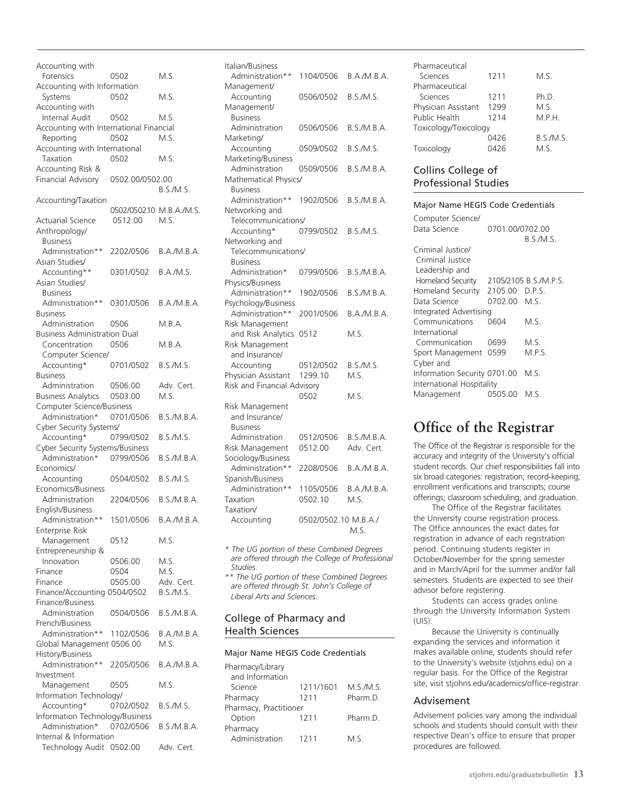| Accounting with                                        |                          |                     |
|--------------------------------------------------------|--------------------------|---------------------|
| Forensics                                              | 0502                     | M.S.                |
| Accounting with Information                            |                          |                     |
| Systems                                                | 0502                     | M.S.                |
| Accounting with                                        |                          |                     |
| Internal Audit                                         | 0502                     | M.S.                |
| Accounting with International Financial                |                          |                     |
| Reporting                                              | 0502                     | M.S.                |
| Accounting with International                          |                          |                     |
| Taxation                                               | 0502                     | M.S.                |
| Accounting Risk &<br><b>Financial Advisory</b>         | 0502.00/0502.00          |                     |
|                                                        |                          | <b>B.S./M.S.</b>    |
| Accounting/Taxation                                    |                          |                     |
|                                                        | 0502/0502.10 M.B.A./M.S. |                     |
| <b>Actuarial Science</b>                               | 0512.00                  | M.S.                |
| Anthropology/                                          |                          |                     |
| <b>Business</b>                                        |                          |                     |
| Administration**                                       | 2202/0506                | B.A./M.B.A.         |
| Asian Studies/                                         |                          |                     |
| Accounting**                                           | 0301/0502                | B.A.M.S.            |
| Asian Studies/                                         |                          |                     |
| <b>Business</b>                                        |                          |                     |
| Administration**                                       | 0301/0506                | B.A./M.B.A.         |
| <b>Business</b>                                        |                          |                     |
| Administration                                         | 0506                     | M.B.A.              |
| <b>Business Administration Dual</b>                    |                          |                     |
| Concentration                                          | 0506                     | M.B.A.              |
| Computer Science/                                      |                          |                     |
| Accounting*                                            | 0701/0502                | B.S./M.S.           |
| <b>Business</b>                                        |                          |                     |
| Administration                                         | 0506.00                  | Adv. Cert.          |
| <b>Business Analytics</b><br>Computer Science/Business | 0503.00                  | M.S.                |
| Administration*                                        | 0701/0506                | B.S./M.B.A.         |
| Cyber Security Systems/                                |                          |                     |
| Accounting*                                            | 0799/0502                | <b>B.S./M.S.</b>    |
| Cyber Security Systems/Business                        |                          |                     |
| Administration*                                        | 0799/0506                | <b>B.S./M.B.A.</b>  |
| Economics/                                             |                          |                     |
| Accounting                                             | 0504/0502                | B.S./M.S.           |
| Economics/Business                                     |                          |                     |
| Administration                                         | 2204/0506                | B.S./M.B.A.         |
| English/Business                                       |                          |                     |
| Administration**                                       | 1501/0506                | B.A./M.B.A          |
| <b>Enterprise Risk</b>                                 |                          |                     |
| Management                                             | 0512                     | M.S.                |
| Entrepreneurship &                                     |                          |                     |
| Innovation                                             | 0506.00                  | M.S.                |
| Finance                                                | 0504                     | M.S.                |
| Finance                                                | 0505.00                  | Adv. Cert.          |
| Finance/Accounting 0504/0502                           |                          | <b>B.S./M.S.</b>    |
| Finance/Business                                       |                          |                     |
| Administration                                         | 0504/0506                | B.S./M.B.A.         |
| French/Business<br>Administration**                    |                          |                     |
|                                                        | 1102/0506                | B.A./M.B.A.<br>M.S. |
| Global Management 0506.00<br>History/Business          |                          |                     |
| Administration**                                       | 2205/0506                | B.A./M.B.A.         |
| Investment                                             |                          |                     |
| Management                                             | 0505                     | M.S.                |
| Information Technology/                                |                          |                     |
| Accounting*                                            | 0702/0502                | B.S./M.S.           |
| Information Technology/Business                        |                          |                     |
| Administration*                                        | 0702/0506                | B.S./M.B.A.         |
| Internal & Information                                 |                          |                     |
| Technology Audit 0502.00                               |                          | Adv. Cert.          |

| Italian/Business            |                      |                    |
|-----------------------------|----------------------|--------------------|
| Administration**            | 1104/0506            | B.A.M.B.A.         |
| Management/                 |                      |                    |
| Accounting                  | 0506/0502            | <b>B.S./M.S.</b>   |
| Management/                 |                      |                    |
| <b>Business</b>             |                      |                    |
| Administration              | 0506/0506            | <b>B.S./M.B.A.</b> |
| Marketing/                  |                      |                    |
| Accounting                  | 0509/0502            | <b>B.S./M.S.</b>   |
| Marketing/Business          |                      |                    |
| Administration              | 0509/0506            | <b>B.S./M.B.A.</b> |
| Mathematical Physics/       |                      |                    |
| <b>Business</b>             |                      |                    |
| Administration**            | 1902/0506            | <b>B.S./M.B.A.</b> |
| Networking and              |                      |                    |
| Telecommunications/         |                      |                    |
| Accounting*                 | 0799/0502            | <b>B.S./M.S.</b>   |
| Networking and              |                      |                    |
| Telecommunications/         |                      |                    |
| <b>Business</b>             |                      |                    |
| Administration*             | 0799/0506            | B.S.M.B.A.         |
| Physics/Business            |                      |                    |
| Administration**            | 1902/0506            | B.S.M.B.A.         |
| Psychology/Business         |                      |                    |
| Administration**            | 2001/0506            | B.A.M.B.A.         |
| Risk Management             |                      |                    |
| and Risk Analytics          | 0512                 | M.S.               |
| Risk Management             |                      |                    |
| and Insurance/              |                      |                    |
| Accounting                  | 0512/0502            | <b>B.S./M.S.</b>   |
| Physician Assistant         | 1299.10              | M.S.               |
| Risk and Financial Advisory |                      |                    |
|                             | 0502                 | M.S.               |
| Risk Management             |                      |                    |
| and Insurance/              |                      |                    |
| <b>Business</b>             |                      |                    |
| Administration              | 0512/0506            | <b>B.S./M.B.A.</b> |
| Risk Management             | 0512.00              | Adv. Cert.         |
| Sociology/Business          |                      |                    |
| Administration**            | 2208/0506            | B.A.M.B.A.         |
| Spanish/Business            |                      |                    |
| Administration**            | 1105/0506            | B.A.M.B.A.         |
| Taxation                    | 0502.10              | M.S.               |
| Taxation/                   |                      |                    |
| Accounting                  | 0502/0502.10 M.B.A./ | M S                |
|                             |                      |                    |

*\* The UG portion of these Combined Degrees are offered through the College of Professional Studies.* 

*\*\* The UG portion of these Combined Degrees are offered through St. John's College of Liberal Arts and Sciences.*

#### College of Pharmacy and Health Sciences

#### Major Name HEGIS Code Credentials

| Pharmacy/Library       |           |           |
|------------------------|-----------|-----------|
| and Information        |           |           |
| Science                | 1211/1601 | M.S./M.S. |
| Pharmacy               | 1211      | Pharm.D.  |
| Pharmacy, Practitioner |           |           |
| Option                 | 1211      | Pharm.D.  |
| Pharmacy               |           |           |
| Administration         | 1211      | M S.      |
|                        |           |           |

| Pharmaceutical<br>Sciences<br>Pharmaceutical | 1211 | M S.      |
|----------------------------------------------|------|-----------|
| Sciences                                     | 1211 | Ph.D.     |
| Physician Assistant                          | 1299 | M S.      |
| Public Health                                | 1214 | MPH       |
| Toxicology/Toxicology                        |      |           |
|                                              | 0426 | B.S./M.S. |
| Toxicology                                   | 0426 | M S.      |

#### Collins College of Professional Studies

#### Major Name HEGIS Code Credentials

| Computer Science/<br>Data Science | 0701.00/0702.00 |                       |
|-----------------------------------|-----------------|-----------------------|
|                                   |                 | B.S.M.S.              |
| Criminal Justice/                 |                 |                       |
| Criminal Justice                  |                 |                       |
| Leadership and                    |                 |                       |
| <b>Homeland Security</b>          |                 | 2105/2105 B.S./M.P.S. |
| <b>Homeland Security</b>          | 2105.00         | D.P.S.                |
| Data Science                      | 0702.00         | M.S.                  |
| <b>Integrated Advertising</b>     |                 |                       |
| Communications                    | 0604            | M.S.                  |
| International                     |                 |                       |
| Communication                     | 0699            | M.S.                  |
| Sport Management                  | 0599            | M.P.S.                |
| Cyber and                         |                 |                       |
| Information Security 0701.00      |                 | M.S.                  |
| International Hospitality         |                 |                       |
| Management                        | 0505.00         | M.S.                  |

### **Office of the Registrar**

The Office of the Registrar is responsible for the accuracy and integrity of the University's official student records. Our chief responsibilities fall into six broad categories: registration; record-keeping; enrollment verifications and transcripts; course offerings; classroom scheduling; and graduation.

The Office of the Registrar facilitates the University course registration process. The Office announces the exact dates for registration in advance of each registration period. Continuing students register in October/November for the spring semester and in March/April for the summer and/or fall semesters. Students are expected to see their advisor before registering.

Students can access grades online through the University Information System (UIS).

Because the University is continually expanding the services and information it makes available online, students should refer to the University's website (stjohns.edu) on a regular basis. For the Office of the Registrar site, visit stjohns.edu/academics/office-registrar.

#### Advisement

Advisement policies vary among the individual schools and students should consult with their respective Dean's office to ensure that proper procedures are followed.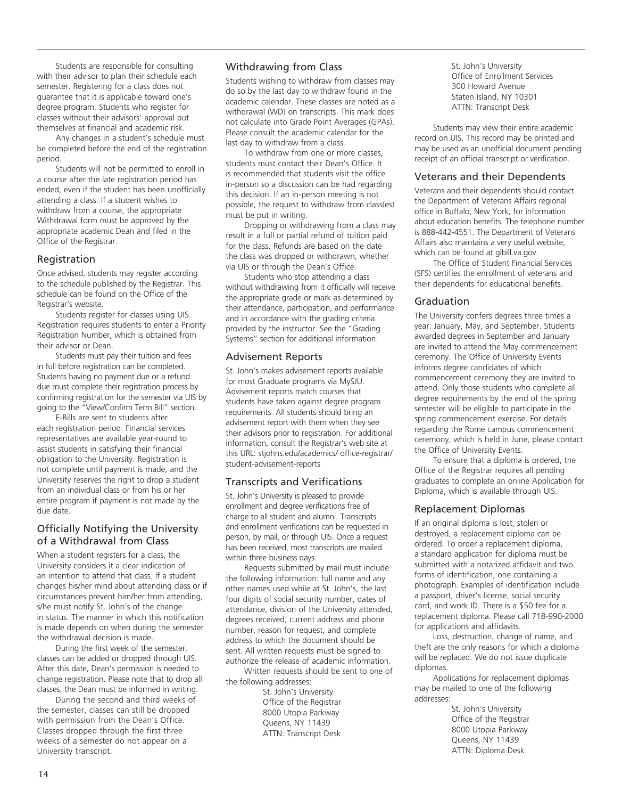Students are responsible for consulting with their advisor to plan their schedule each semester. Registering for a class does not guarantee that it is applicable toward one's degree program. Students who register for classes without their advisors' approval put themselves at financial and academic risk.

Any changes in a student's schedule must be completed before the end of the registration period.

Students will not be permitted to enroll in a course after the late registration period has ended, even if the student has been unofficially attending a class. If a student wishes to withdraw from a course, the appropriate Withdrawal form must be approved by the appropriate academic Dean and filed in the Office of the Registrar.

#### Registration

Once advised, students may register according to the schedule published by the Registrar. This schedule can be found on the Office of the Registrar's website.

Students register for classes using UIS. Registration requires students to enter a Priority Registration Number, which is obtained from their advisor or Dean.

Students must pay their tuition and fees in full before registration can be completed. Students having no payment due or a refund due must complete their registration process by confirming registration for the semester via UIS by going to the "View/Confirm Term Bill" section.

E-Bills are sent to students after each registration period. Financial services representatives are available year-round to assist students in satisfying their financial obligation to the University. Registration is not complete until payment is made, and the University reserves the right to drop a student from an individual class or from his or her entire program if payment is not made by the due date.

#### Officially Notifying the University of a Withdrawal from Class

When a student registers for a class, the University considers it a clear indication of an intention to attend that class. If a student changes his/her mind about attending class or if circumstances prevent him/her from attending, s/he must notify St. John's of the change in status. The manner in which this notification is made depends on when during the semester the withdrawal decision is made.

During the first week of the semester, classes can be added or dropped through UIS. After this date, Dean's permission is needed to change registration. Please note that to drop all classes, the Dean must be informed in writing.

During the second and third weeks of the semester, classes can still be dropped with permission from the Dean's Office. Classes dropped through the first three weeks of a semester do not appear on a University transcript.

#### Withdrawing from Class

Students wishing to withdraw from classes may do so by the last day to withdraw found in the academic calendar. These classes are noted as a withdrawal (WD) on transcripts. This mark does not calculate into Grade Point Averages (GPAs). Please consult the academic calendar for the last day to withdraw from a class.

To withdraw from one or more classes, students must contact their Dean's Office. It is recommended that students visit the office in-person so a discussion can be had regarding this decision. If an in-person meeting is not possible, the request to withdraw from class(es) must be put in writing.

Dropping or withdrawing from a class may result in a full or partial refund of tuition paid for the class. Refunds are based on the date the class was dropped or withdrawn, whether via UIS or through the Dean's Office.

Students who stop attending a class without withdrawing from it officially will receive the appropriate grade or mark as determined by their attendance, participation, and performance and in accordance with the grading criteria provided by the instructor. See the "Grading Systems" section for additional information.

#### Advisement Reports

St. John's makes advisement reports available for most Graduate programs via MySJU. Advisement reports match courses that students have taken against degree program requirements. All students should bring an advisement report with them when they see their advisors prior to registration. For additional information, consult the Registrar's web site at this URL: stjohns.edu/academics/ office-registrar/ student-advisement-reports

#### Transcripts and Verifications

St. John's University is pleased to provide enrollment and degree verifications free of charge to all student and alumni. Transcripts and enrollment verifications can be requested in person, by mail, or through UIS. Once a request has been received, most transcripts are mailed within three business days.

Requests submitted by mail must include the following information: full name and any other names used while at St. John's, the last four digits of social security number, dates of attendance, division of the University attended, degrees received, current address and phone number, reason for request, and complete address to which the document should be sent. All written requests must be signed to authorize the release of academic information.

Written requests should be sent to one of the following addresses:

> St. John's University Office of the Registrar 8000 Utopia Parkway Queens, NY 11439 ATTN: Transcript Desk

St. John's University Office of Enrollment Services 300 Howard Avenue Staten Island, NY 10301 ATTN: Transcript Desk

Students may view their entire academic record on UIS. This record may be printed and may be used as an unofficial document pending receipt of an official transcript or verification.

#### Veterans and their Dependents

Veterans and their dependents should contact the Department of Veterans Affairs regional office in Buffalo, New York, for information about education benefits. The telephone number is 888-442-4551. The Department of Veterans Affairs also maintains a very useful website, which can be found at gibill.va.gov.

The Office of Student Financial Services (SFS) certifies the enrollment of veterans and their dependents for educational benefits.

#### Graduation

The University confers degrees three times a year: January, May, and September. Students awarded degrees in September and January are invited to attend the May commencement ceremony. The Office of University Events informs degree candidates of which commencement ceremony they are invited to attend. Only those students who complete all degree requirements by the end of the spring semester will be eligible to participate in the spring commencement exercise. For details regarding the Rome campus commencement ceremony, which is held in June, please contact the Office of University Events.

To ensure that a diploma is ordered, the Office of the Registrar requires all pending graduates to complete an online Application for Diploma, which is available through UIS.

#### Replacement Diplomas

If an original diploma is lost, stolen or destroyed, a replacement diploma can be ordered. To order a replacement diploma, a standard application for diploma must be submitted with a notarized affidavit and two forms of identification, one containing a photograph. Examples of identification include a passport, driver's license, social security card, and work ID. There is a \$50 fee for a replacement diploma. Please call 718-990-2000 for applications and affidavits.

Loss, destruction, change of name, and theft are the only reasons for which a diploma will be replaced. We do not issue duplicate diplomas.

Applications for replacement diplomas may be mailed to one of the following addresses:

St. John's University Office of the Registrar 8000 Utopia Parkway Queens, NY 11439 ATTN: Diploma Desk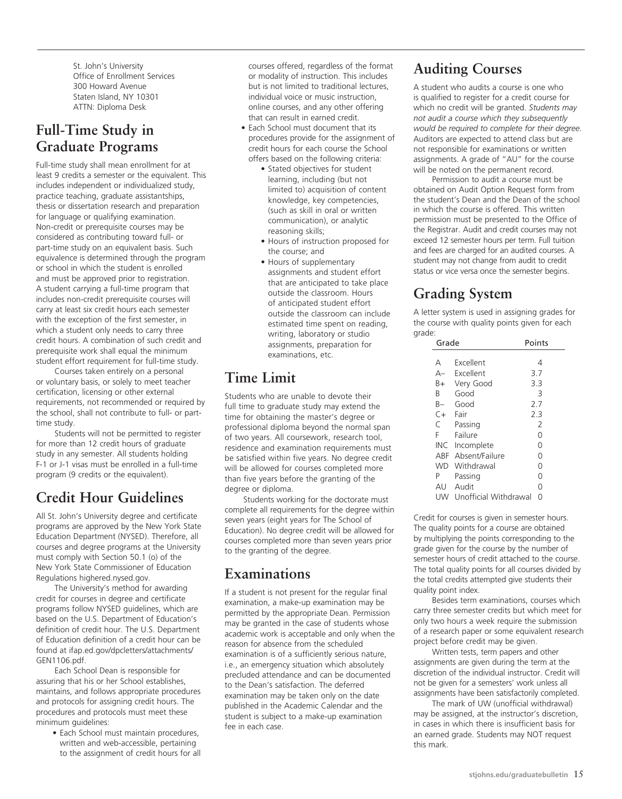St. John's University Office of Enrollment Services 300 Howard Avenue Staten Island, NY 10301 ATTN: Diploma Desk

# **Full-Time Study in Graduate Programs**

Full-time study shall mean enrollment for at least 9 credits a semester or the equivalent. This includes independent or individualized study, practice teaching, graduate assistantships, thesis or dissertation research and preparation for language or qualifying examination. Non-credit or prerequisite courses may be considered as contributing toward full- or part-time study on an equivalent basis. Such equivalence is determined through the program or school in which the student is enrolled and must be approved prior to registration. A student carrying a full-time program that includes non-credit prerequisite courses will carry at least six credit hours each semester with the exception of the first semester, in which a student only needs to carry three credit hours. A combination of such credit and prerequisite work shall equal the minimum student effort requirement for full-time study.

Courses taken entirely on a personal or voluntary basis, or solely to meet teacher certification, licensing or other external requirements, not recommended or required by the school, shall not contribute to full- or parttime study.

Students will not be permitted to register for more than 12 credit hours of graduate study in any semester. All students holding F-1 or J-1 visas must be enrolled in a full-time program (9 credits or the equivalent).

# **Credit Hour Guidelines**

All St. John's University degree and certificate programs are approved by the New York State Education Department (NYSED). Therefore, all courses and degree programs at the University must comply with Section 50.1 (o) of the New York State Commissioner of Education Regulations highered.nysed.gov.

The University's method for awarding credit for courses in degree and certificate programs follow NYSED guidelines, which are based on the U.S. Department of Education's definition of credit hour. The U.S. Department of Education definition of a credit hour can be found at ifap.ed.gov/dpcletters/attachments/ GEN1106.pdf.

Each School Dean is responsible for assuring that his or her School establishes, maintains, and follows appropriate procedures and protocols for assigning credit hours. The procedures and protocols must meet these minimum guidelines:

> • Each School must maintain procedures, written and web-accessible, pertaining to the assignment of credit hours for all

courses offered, regardless of the format or modality of instruction. This includes but is not limited to traditional lectures, individual voice or music instruction, online courses, and any other offering that can result in earned credit.

• Each School must document that its procedures provide for the assignment of credit hours for each course the School offers based on the following criteria:

- Stated objectives for student learning, including (but not limited to) acquisition of content knowledge, key competencies, (such as skill in oral or written communication), or analytic reasoning skills;
- • Hours of instruction proposed for the course; and
- Hours of supplementary assignments and student effort that are anticipated to take place outside the classroom. Hours of anticipated student effort outside the classroom can include estimated time spent on reading, writing, laboratory or studio assignments, preparation for examinations, etc.

# **Time Limit**

Students who are unable to devote their full time to graduate study may extend the time for obtaining the master's degree or professional diploma beyond the normal span of two years. All coursework, research tool, residence and examination requirements must be satisfied within five years. No degree credit will be allowed for courses completed more than five years before the granting of the degree or diploma.

Students working for the doctorate must complete all requirements for the degree within seven years (eight years for The School of Education). No degree credit will be allowed for courses completed more than seven years prior to the granting of the degree.

# **Examinations**

If a student is not present for the regular final examination, a make-up examination may be permitted by the appropriate Dean. Permission may be granted in the case of students whose academic work is acceptable and only when the reason for absence from the scheduled examination is of a sufficiently serious nature, i.e., an emergency situation which absolutely precluded attendance and can be documented to the Dean's satisfaction. The deferred examination may be taken only on the date published in the Academic Calendar and the student is subject to a make-up examination fee in each case.

# **Auditing Courses**

A student who audits a course is one who is qualified to register for a credit course for which no credit will be granted. *Students may not audit a course which they subsequently would be required to complete for their degree.* Auditors are expected to attend class but are not responsible for examinations or written assignments. A grade of "AU" for the course will be noted on the permanent record.

Permission to audit a course must be obtained on Audit Option Request form from the student's Dean and the Dean of the school in which the course is offered. This written permission must be presented to the Office of the Registrar. Audit and credit courses may not exceed 12 semester hours per term. Full tuition and fees are charged for an audited courses. A student may not change from audit to credit status or vice versa once the semester begins.

# **Grading System**

A letter system is used in assigning grades for the course with quality points given for each grade:

| Grade |                          | Points         |
|-------|--------------------------|----------------|
|       |                          |                |
| А     | Excellent                | 4              |
| А–    | Excellent                | 3.7            |
| B+    | Very Good                | 3.3            |
| B     | Good                     | 3              |
| B-    | Good                     | 2.7            |
| $C++$ | Fair                     | 2.3            |
| C     | Passing                  | $\overline{2}$ |
| F     | Failure                  | 0              |
|       | INC Incomplete           | 0              |
|       | ABF Absent/Failure       | 0              |
|       | WD Withdrawal            | 0              |
| Ρ     | Passing                  | 0              |
| AU    | Audit                    | 0              |
|       | UW Unofficial Withdrawal | 0              |

Credit for courses is given in semester hours. The quality points for a course are obtained by multiplying the points corresponding to the grade given for the course by the number of semester hours of credit attached to the course. The total quality points for all courses divided by the total credits attempted give students their quality point index.

Besides term examinations, courses which carry three semester credits but which meet for only two hours a week require the submission of a research paper or some equivalent research project before credit may be given.

Written tests, term papers and other assignments are given during the term at the discretion of the individual instructor. Credit will not be given for a semesters' work unless all assignments have been satisfactorily completed.

The mark of UW (unofficial withdrawal) may be assigned, at the instructor's discretion, in cases in which there is insufficient basis for an earned grade. Students may NOT request this mark.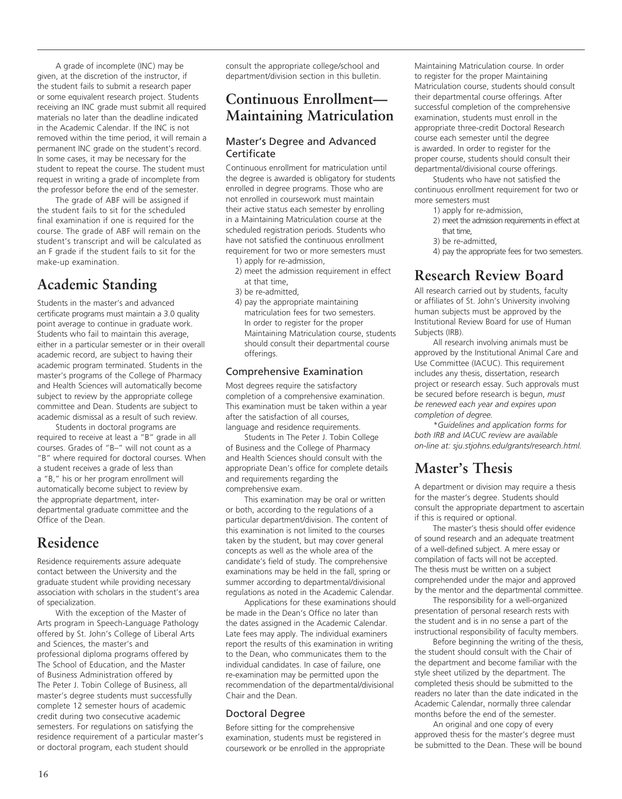A grade of incomplete (INC) may be given, at the discretion of the instructor, if the student fails to submit a research paper or some equivalent research project. Students receiving an INC grade must submit all required materials no later than the deadline indicated in the Academic Calendar. If the INC is not removed within the time period, it will remain a permanent INC grade on the student's record. In some cases, it may be necessary for the student to repeat the course. The student must request in writing a grade of incomplete from the professor before the end of the semester.

The grade of ABF will be assigned if the student fails to sit for the scheduled final examination if one is required for the course. The grade of ABF will remain on the student's transcript and will be calculated as an F grade if the student fails to sit for the make-up examination.

# **Academic Standing**

Students in the master's and advanced certificate programs must maintain a 3.0 quality point average to continue in graduate work. Students who fail to maintain this average, either in a particular semester or in their overall academic record, are subject to having their academic program terminated. Students in the master's programs of the College of Pharmacy and Health Sciences will automatically become subject to review by the appropriate college committee and Dean. Students are subject to academic dismissal as a result of such review.

Students in doctoral programs are required to receive at least a "B" grade in all courses. Grades of "B–" will not count as a "B" where required for doctoral courses. When a student receives a grade of less than a "B," his or her program enrollment will automatically become subject to review by the appropriate department, interdepartmental graduate committee and the Office of the Dean.

# **Residence**

Residence requirements assure adequate contact between the University and the graduate student while providing necessary association with scholars in the student's area of specialization.

With the exception of the Master of Arts program in Speech-Language Pathology offered by St. John's College of Liberal Arts and Sciences, the master's and professional diploma programs offered by The School of Education, and the Master of Business Administration offered by The Peter J. Tobin College of Business, all master's degree students must successfully complete 12 semester hours of academic credit during two consecutive academic semesters. For regulations on satisfying the residence requirement of a particular master's or doctoral program, each student should

consult the appropriate college/school and department/division section in this bulletin.

# **Continuous Enrollment— Maintaining Matriculation**

#### Master's Degree and Advanced Certificate

Continuous enrollment for matriculation until the degree is awarded is obligatory for students enrolled in degree programs. Those who are not enrolled in coursework must maintain their active status each semester by enrolling in a Maintaining Matriculation course at the scheduled registration periods. Students who have not satisfied the continuous enrollment requirement for two or more semesters must

- 1) apply for re-admission,
- 2) meet the admission requirement in effect at that time,
- 3) be re-admitted,
- 4) pay the appropriate maintaining matriculation fees for two semesters. In order to register for the proper Maintaining Matriculation course, students should consult their departmental course offerings.

#### Comprehensive Examination

Most degrees require the satisfactory completion of a comprehensive examination. This examination must be taken within a year after the satisfaction of all courses, language and residence requirements.

Students in The Peter J. Tobin College of Business and the College of Pharmacy and Health Sciences should consult with the appropriate Dean's office for complete details and requirements regarding the comprehensive exam.

This examination may be oral or written or both, according to the regulations of a particular department/division. The content of this examination is not limited to the courses taken by the student, but may cover general concepts as well as the whole area of the candidate's field of study. The comprehensive examinations may be held in the fall, spring or summer according to departmental/divisional regulations as noted in the Academic Calendar.

Applications for these examinations should be made in the Dean's office no later than the dates assigned in the Academic Calendar. Late fees may apply. The individual examiners report the results of this examination in writing to the Dean, who communicates them to the individual candidates. In case of failure, one re-examination may be permitted upon the recommendation of the departmental/divisional Chair and the Dean.

#### Doctoral Degree

Before sitting for the comprehensive examination, students must be registered in coursework or be enrolled in the appropriate Maintaining Matriculation course. In order to register for the proper Maintaining Matriculation course, students should consult their departmental course offerings. After successful completion of the comprehensive examination, students must enroll in the appropriate three-credit Doctoral Research course each semester until the degree is awarded. In order to register for the proper course, students should consult their departmental/divisional course offerings.

Students who have not satisfied the continuous enrollment requirement for two or more semesters must

- 1) apply for re-admission,
- 2) meet the admission requirements in effect at that time,
- 3) be re-admitted,
- 4) pay the appropriate fees for two semesters.

# **Research Review Board**

All research carried out by students, faculty or affiliates of St. John's University involving human subjects must be approved by the Institutional Review Board for use of Human Subjects (IRB).

All research involving animals must be approved by the Institutional Animal Care and Use Committee (IACUC). This requirement includes any thesis, dissertation, research project or research essay. Such approvals must be secured before research is begun, *must be renewed each year and expires upon completion of degree.*

*\*Guidelines and application forms for both IRB and IACUC review are available on-line at: sju.stjohns.edu/grants/research.html.*

# **Master's Thesis**

A department or division may require a thesis for the master's degree. Students should consult the appropriate department to ascertain if this is required or optional.

The master's thesis should offer evidence of sound research and an adequate treatment of a well-defined subject. A mere essay or compilation of facts will not be accepted. The thesis must be written on a subject comprehended under the major and approved by the mentor and the departmental committee.

The responsibility for a well-organized presentation of personal research rests with the student and is in no sense a part of the instructional responsibility of faculty members.

Before beginning the writing of the thesis, the student should consult with the Chair of the department and become familiar with the style sheet utilized by the department. The completed thesis should be submitted to the readers no later than the date indicated in the Academic Calendar, normally three calendar months before the end of the semester.

An original and one copy of every approved thesis for the master's degree must be submitted to the Dean. These will be bound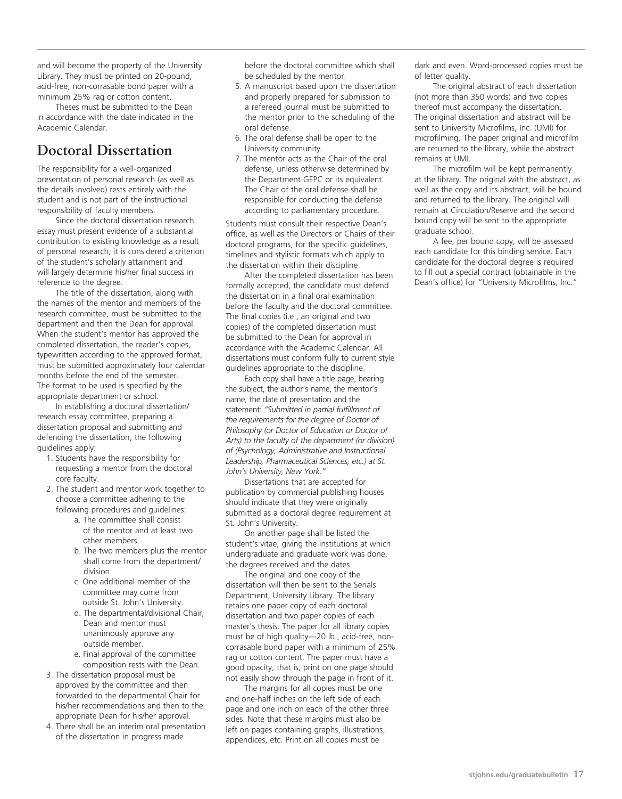and will become the property of the University Library. They must be printed on 20-pound, acid-free, non-corrasable bond paper with a minimum 25% rag or cotton content.

Theses must be submitted to the Dean in accordance with the date indicated in the Academic Calendar.

# **Doctoral Dissertation**

The responsibility for a well-organized presentation of personal research (as well as the details involved) rests entirely with the student and is not part of the instructional responsibility of faculty members.

Since the doctoral dissertation research essay must present evidence of a substantial contribution to existing knowledge as a result of personal research, it is considered a criterion of the student's scholarly attainment and will largely determine his/her final success in reference to the degree.

The title of the dissertation, along with the names of the mentor and members of the research committee, must be submitted to the department and then the Dean for approval. When the student's mentor has approved the completed dissertation, the reader's copies, typewritten according to the approved format, must be submitted approximately four calendar months before the end of the semester. The format to be used is specified by the appropriate department or school.

In establishing a doctoral dissertation/ research essay committee, preparing a dissertation proposal and submitting and defending the dissertation, the following guidelines apply:

- 1. Students have the responsibility for requesting a mentor from the doctoral core faculty.
- 2. The student and mentor work together to choose a committee adhering to the following procedures and guidelines:
	- a. The committee shall consist of the mentor and at least two other members.
	- b. The two members plus the mentor shall come from the department/ division.
	- c. One additional member of the committee may come from outside St. John's University.
	- d. The departmental/divisional Chair, Dean and mentor must unanimously approve any outside member.
	- e. Final approval of the committee composition rests with the Dean.
- 3. The dissertation proposal must be approved by the committee and then forwarded to the departmental Chair for his/her recommendations and then to the appropriate Dean for his/her approval.
- 4. There shall be an interim oral presentation of the dissertation in progress made

before the doctoral committee which shall be scheduled by the mentor.

- 5. A manuscript based upon the dissertation and properly prepared for submission to a refereed journal must be submitted to the mentor prior to the scheduling of the oral defense.
- 6. The oral defense shall be open to the University community.
- 7. The mentor acts as the Chair of the oral defense, unless otherwise determined by the Department GEPC or its equivalent. The Chair of the oral defense shall be responsible for conducting the defense according to parliamentary procedure.

Students must consult their respective Dean's office, as well as the Directors or Chairs of their doctoral programs, for the specific guidelines, timelines and stylistic formats which apply to the dissertation within their discipline.

After the completed dissertation has been formally accepted, the candidate must defend the dissertation in a final oral examination before the faculty and the doctoral committee. The final copies (i.e., an original and two copies) of the completed dissertation must be submitted to the Dean for approval in accordance with the Academic Calendar. All dissertations must conform fully to current style guidelines appropriate to the discipline.

Each copy shall have a title page, bearing the subject, the author's name, the mentor's name, the date of presentation and the statement: *"Submitted in partial fulfillment of the requirements for the degree of Doctor of Philosophy (or Doctor of Education or Doctor of Arts) to the faculty of the department (or division) of (Psychology, Administrative and Instructional Leadership, Pharmaceutical Sciences, etc.) at St. John's University, New York."*

Dissertations that are accepted for publication by commercial publishing houses should indicate that they were originally submitted as a doctoral degree requirement at St. John's University.

On another page shall be listed the student's vitae, giving the institutions at which undergraduate and graduate work was done, the degrees received and the dates.

The original and one copy of the dissertation will then be sent to the Serials Department, University Library. The library retains one paper copy of each doctoral dissertation and two paper copies of each master's thesis. The paper for all library copies must be of high quality—20 lb., acid-free, noncorrasable bond paper with a minimum of 25% rag or cotton content. The paper must have a good opacity, that is, print on one page should not easily show through the page in front of it.

The margins for all copies must be one and one-half inches on the left side of each page and one inch on each of the other three sides. Note that these margins must also be left on pages containing graphs, illustrations, appendices, etc. Print on all copies must be

dark and even. Word-processed copies must be of letter quality.

The original abstract of each dissertation (not more than 350 words) and two copies thereof must accompany the dissertation. The original dissertation and abstract will be sent to University Microfilms, Inc. (UMI) for microfilming. The paper original and microfilm are returned to the library, while the abstract remains at UMI.

The microfilm will be kept permanently at the library. The original with the abstract, as well as the copy and its abstract, will be bound and returned to the library. The original will remain at Circulation/Reserve and the second bound copy will be sent to the appropriate graduate school.

A fee, per bound copy, will be assessed each candidate for this binding service. Each candidate for the doctoral degree is required to fill out a special contract (obtainable in the Dean's office) for "University Microfilms, Inc."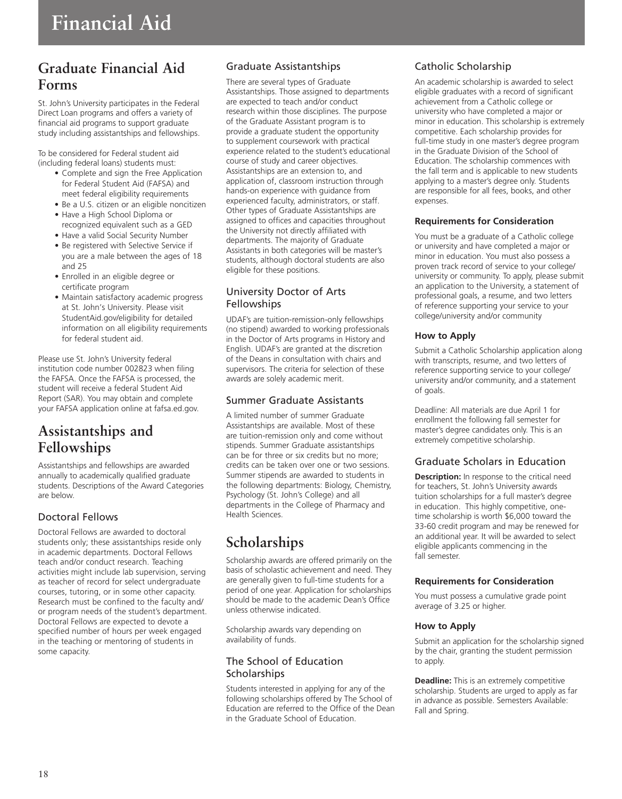# **Graduate Financial Aid Forms**

St. John's University participates in the Federal Direct Loan programs and offers a variety of financial aid programs to support graduate study including assistantships and fellowships.

To be considered for Federal student aid (including federal loans) students must:

- Complete and sign the Free Application for Federal Student Aid (FAFSA) and meet federal eligibility requirements
- Be a U.S. citizen or an eligible noncitizen • Have a High School Diploma or
- recognized equivalent such as a GED
- Have a valid Social Security Number
- Be registered with Selective Service if you are a male between the ages of 18 and 25
- • Enrolled in an eligible degree or certificate program
- Maintain satisfactory academic progress at St. John's University. Please visit StudentAid.gov/eligibility for detailed information on all eligibility requirements for federal student aid.

Please use St. John's University federal institution code number 002823 when filing the FAFSA. Once the FAFSA is processed, the student will receive a federal Student Aid Report (SAR). You may obtain and complete your FAFSA application online at fafsa.ed.gov.

# **Assistantships and Fellowships**

Assistantships and fellowships are awarded annually to academically qualified graduate students. Descriptions of the Award Categories are below.

#### Doctoral Fellows

Doctoral Fellows are awarded to doctoral students only; these assistantships reside only in academic departments. Doctoral Fellows teach and/or conduct research. Teaching activities might include lab supervision, serving as teacher of record for select undergraduate courses, tutoring, or in some other capacity. Research must be confined to the faculty and/ or program needs of the student's department. Doctoral Fellows are expected to devote a specified number of hours per week engaged in the teaching or mentoring of students in some capacity.

#### Graduate Assistantships

There are several types of Graduate Assistantships. Those assigned to departments are expected to teach and/or conduct research within those disciplines. The purpose of the Graduate Assistant program is to provide a graduate student the opportunity to supplement coursework with practical experience related to the student's educational course of study and career objectives. Assistantships are an extension to, and application of, classroom instruction through hands-on experience with guidance from experienced faculty, administrators, or staff. Other types of Graduate Assistantships are assigned to offices and capacities throughout the University not directly affiliated with departments. The majority of Graduate Assistants in both categories will be master's students, although doctoral students are also eligible for these positions.

#### University Doctor of Arts Fellowships

UDAF's are tuition-remission-only fellowships (no stipend) awarded to working professionals in the Doctor of Arts programs in History and English. UDAF's are granted at the discretion of the Deans in consultation with chairs and supervisors. The criteria for selection of these awards are solely academic merit.

#### Summer Graduate Assistants

A limited number of summer Graduate Assistantships are available. Most of these are tuition-remission only and come without stipends. Summer Graduate assistantships can be for three or six credits but no more; credits can be taken over one or two sessions. Summer stipends are awarded to students in the following departments: Biology, Chemistry, Psychology (St. John's College) and all departments in the College of Pharmacy and Health Sciences.

# **Scholarships**

Scholarship awards are offered primarily on the basis of scholastic achievement and need. They are generally given to full-time students for a period of one year. Application for scholarships should be made to the academic Dean's Office unless otherwise indicated.

Scholarship awards vary depending on availability of funds.

#### The School of Education **Scholarships**

Students interested in applying for any of the following scholarships offered by The School of Education are referred to the Office of the Dean in the Graduate School of Education.

#### Catholic Scholarship

An academic scholarship is awarded to select eligible graduates with a record of significant achievement from a Catholic college or university who have completed a major or minor in education. This scholarship is extremely competitive. Each scholarship provides for full-time study in one master's degree program in the Graduate Division of the School of Education. The scholarship commences with the fall term and is applicable to new students applying to a master's degree only. Students are responsible for all fees, books, and other expenses.

#### **Requirements for Consideration**

You must be a graduate of a Catholic college or university and have completed a major or minor in education. You must also possess a proven track record of service to your college/ university or community. To apply, please submit an application to the University, a statement of professional goals, a resume, and two letters of reference supporting your service to your college/university and/or community

#### **How to Apply**

Submit a Catholic Scholarship application along with transcripts, resume, and two letters of reference supporting service to your college/ university and/or community, and a statement of goals.

Deadline: All materials are due April 1 for enrollment the following fall semester for master's degree candidates only. This is an extremely competitive scholarship.

#### Graduate Scholars in Education

**Description:** In response to the critical need for teachers, St. John's University awards tuition scholarships for a full master's degree in education. This highly competitive, onetime scholarship is worth \$6,000 toward the 33-60 credit program and may be renewed for an additional year. It will be awarded to select eligible applicants commencing in the fall semester.

#### **Requirements for Consideration**

You must possess a cumulative grade point average of 3.25 or higher.

#### **How to Apply**

Submit an application for the scholarship signed by the chair, granting the student permission to apply.

**Deadline:** This is an extremely competitive scholarship. Students are urged to apply as far in advance as possible. Semesters Available: Fall and Spring.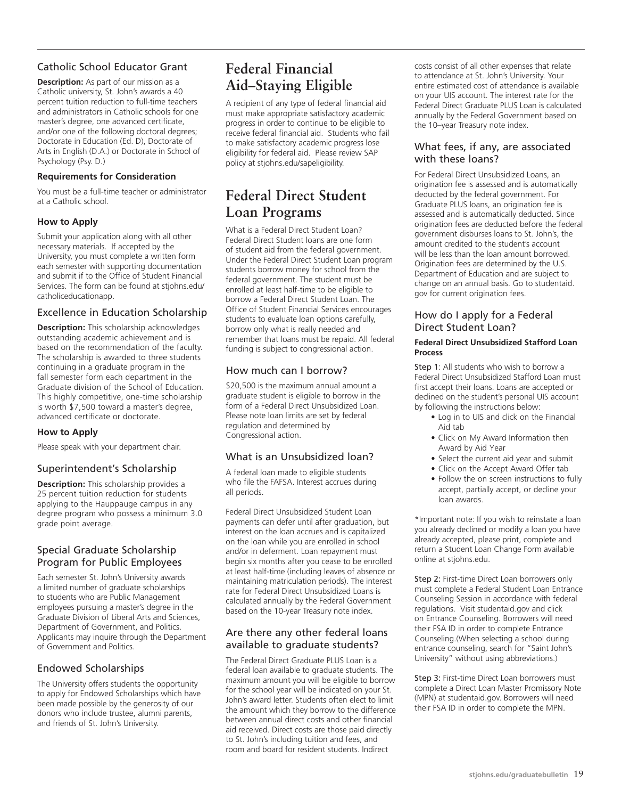#### Catholic School Educator Grant

**Description:** As part of our mission as a Catholic university, St. John's awards a 40 percent tuition reduction to full-time teachers and administrators in Catholic schools for one master's degree, one advanced certificate, and/or one of the following doctoral degrees; Doctorate in Education (Ed. D), Doctorate of Arts in English (D.A.) or Doctorate in School of Psychology (Psy. D.)

#### **Requirements for Consideration**

You must be a full-time teacher or administrator at a Catholic school.

#### **How to Apply**

Submit your application along with all other necessary materials. If accepted by the University, you must complete a written form each semester with supporting documentation and submit if to the Office of Student Financial Services. The form can be found at stjohns.edu/ catholiceducationapp.

#### Excellence in Education Scholarship

**Description:** This scholarship acknowledges outstanding academic achievement and is based on the recommendation of the faculty. The scholarship is awarded to three students continuing in a graduate program in the fall semester form each department in the Graduate division of the School of Education. This highly competitive, one-time scholarship is worth \$7,500 toward a master's degree, advanced certificate or doctorate.

#### **How to Apply**

Please speak with your department chair.

#### Superintendent's Scholarship

**Description:** This scholarship provides a 25 percent tuition reduction for students applying to the Hauppauge campus in any degree program who possess a minimum 3.0 grade point average.

#### Special Graduate Scholarship Program for Public Employees

Each semester St. John's University awards a limited number of graduate scholarships to students who are Public Management employees pursuing a master's degree in the Graduate Division of Liberal Arts and Sciences, Department of Government, and Politics. Applicants may inquire through the Department of Government and Politics.

#### Endowed Scholarships

The University offers students the opportunity to apply for Endowed Scholarships which have been made possible by the generosity of our donors who include trustee, alumni parents, and friends of St. John's University.

### **Federal Financial Aid–Staying Eligible**

A recipient of any type of federal financial aid must make appropriate satisfactory academic progress in order to continue to be eligible to receive federal financial aid. Students who fail to make satisfactory academic progress lose eligibility for federal aid. Please review SAP policy at stjohns.edu/sapeligibility.

## **Federal Direct Student Loan Programs**

What is a Federal Direct Student Loan? Federal Direct Student loans are one form of student aid from the federal government. Under the Federal Direct Student Loan program students borrow money for school from the federal government. The student must be enrolled at least half-time to be eligible to borrow a Federal Direct Student Loan. The Office of Student Financial Services encourages students to evaluate loan options carefully, borrow only what is really needed and remember that loans must be repaid. All federal funding is subject to congressional action.

#### How much can I borrow?

\$20,500 is the maximum annual amount a graduate student is eligible to borrow in the form of a Federal Direct Unsubsidized Loan. Please note loan limits are set by federal regulation and determined by Congressional action.

#### What is an Unsubsidized loan?

A federal loan made to eligible students who file the FAFSA. Interest accrues during all periods.

Federal Direct Unsubsidized Student Loan payments can defer until after graduation, but interest on the loan accrues and is capitalized on the loan while you are enrolled in school and/or in deferment. Loan repayment must begin six months after you cease to be enrolled at least half-time (including leaves of absence or maintaining matriculation periods). The interest rate for Federal Direct Unsubsidized Loans is calculated annually by the Federal Government based on the 10-year Treasury note index.

#### Are there any other federal loans available to graduate students?

The Federal Direct Graduate PLUS Loan is a federal loan available to graduate students. The maximum amount you will be eligible to borrow for the school year will be indicated on your St. John's award letter. Students often elect to limit the amount which they borrow to the difference between annual direct costs and other financial aid received. Direct costs are those paid directly to St. John's including tuition and fees, and room and board for resident students. Indirect

costs consist of all other expenses that relate to attendance at St. John's University. Your entire estimated cost of attendance is available on your UIS account. The interest rate for the Federal Direct Graduate PLUS Loan is calculated annually by the Federal Government based on the 10–year Treasury note index.

#### What fees, if any, are associated with these loans?

For Federal Direct Unsubsidized Loans, an origination fee is assessed and is automatically deducted by the federal government. For Graduate PLUS loans, an origination fee is assessed and is automatically deducted. Since origination fees are deducted before the federal government disburses loans to St. John's, the amount credited to the student's account will be less than the loan amount borrowed. Origination fees are determined by the U.S. Department of Education and are subject to change on an annual basis. Go to studentaid. gov for current origination fees.

#### How do I apply for a Federal Direct Student Loan?

#### **Federal Direct Unsubsidized Stafford Loan Process**

Step 1: All students who wish to borrow a Federal Direct Unsubsidized Stafford Loan must first accept their loans. Loans are accepted or declined on the student's personal UIS account by following the instructions below:

- Log in to UIS and click on the Financial Aid tab
- Click on My Award Information then Award by Aid Year
- Select the current aid year and submit
- Click on the Accept Award Offer tab
- Follow the on screen instructions to fully accept, partially accept, or decline your loan awards.

\*Important note: If you wish to reinstate a loan you already declined or modify a loan you have already accepted, please print, complete and return a Student Loan Change Form available online at stjohns.edu.

Step 2: First-time Direct Loan borrowers only must complete a Federal Student Loan Entrance Counseling Session in accordance with federal regulations. Visit studentaid.gov and click on Entrance Counseling. Borrowers will need their FSA ID in order to complete Entrance Counseling.(When selecting a school during entrance counseling, search for "Saint John's University" without using abbreviations.)

Step 3: First-time Direct Loan borrowers must complete a Direct Loan Master Promissory Note (MPN) at studentaid.gov. Borrowers will need their FSA ID in order to complete the MPN.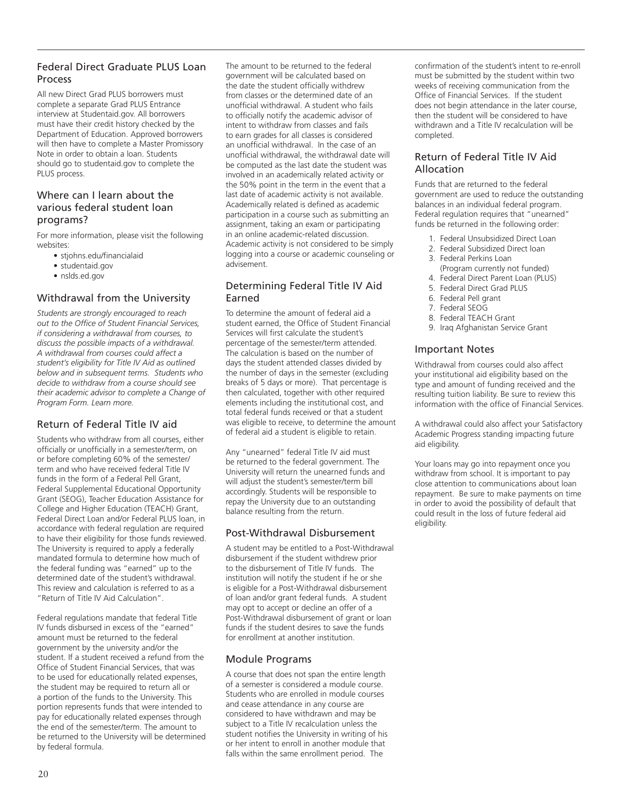#### Federal Direct Graduate PLUS Loan **Process**

All new Direct Grad PLUS borrowers must complete a separate Grad PLUS Entrance interview at Studentaid.gov. All borrowers must have their credit history checked by the Department of Education. Approved borrowers will then have to complete a Master Promissory Note in order to obtain a loan. Students should go to studentaid.gov to complete the PLUS process.

#### Where can I learn about the various federal student loan programs?

For more information, please visit the following websites:

- • stjohns.edu/financialaid
- studentaid.gov
- • nslds.ed.gov

#### Withdrawal from the University

*Students are strongly encouraged to reach out to the Office of Student Financial Services, if considering a withdrawal from courses, to discuss the possible impacts of a withdrawal. A withdrawal from courses could affect a student's eligibility for Title IV Aid as outlined below and in subsequent terms. Students who decide to withdraw from a course should see their academic advisor to complete a Change of Program Form. Learn more.*

#### Return of Federal Title IV aid

Students who withdraw from all courses, either officially or unofficially in a semester/term, on or before completing 60% of the semester/ term and who have received federal Title IV funds in the form of a Federal Pell Grant, Federal Supplemental Educational Opportunity Grant (SEOG), Teacher Education Assistance for College and Higher Education (TEACH) Grant, Federal Direct Loan and/or Federal PLUS loan, in accordance with federal regulation are required to have their eligibility for those funds reviewed. The University is required to apply a federally mandated formula to determine how much of the federal funding was "earned" up to the determined date of the student's withdrawal. This review and calculation is referred to as a "Return of Title IV Aid Calculation".

Federal regulations mandate that federal Title IV funds disbursed in excess of the "earned" amount must be returned to the federal government by the university and/or the student. If a student received a refund from the Office of Student Financial Services, that was to be used for educationally related expenses, the student may be required to return all or a portion of the funds to the University. This portion represents funds that were intended to pay for educationally related expenses through the end of the semester/term. The amount to be returned to the University will be determined by federal formula.

The amount to be returned to the federal government will be calculated based on the date the student officially withdrew from classes or the determined date of an unofficial withdrawal. A student who fails to officially notify the academic advisor of intent to withdraw from classes and fails to earn grades for all classes is considered an unofficial withdrawal. In the case of an unofficial withdrawal, the withdrawal date will be computed as the last date the student was involved in an academically related activity or the 50% point in the term in the event that a last date of academic activity is not available. Academically related is defined as academic participation in a course such as submitting an assignment, taking an exam or participating in an online academic-related discussion. Academic activity is not considered to be simply logging into a course or academic counseling or advisement.

#### Determining Federal Title IV Aid Earned

To determine the amount of federal aid a student earned, the Office of Student Financial Services will first calculate the student's percentage of the semester/term attended. The calculation is based on the number of days the student attended classes divided by the number of days in the semester (excluding breaks of 5 days or more). That percentage is then calculated, together with other required elements including the institutional cost, and total federal funds received or that a student was eligible to receive, to determine the amount of federal aid a student is eligible to retain.

Any "unearned" federal Title IV aid must be returned to the federal government. The University will return the unearned funds and will adjust the student's semester/term bill accordingly. Students will be responsible to repay the University due to an outstanding balance resulting from the return.

#### Post-Withdrawal Disbursement

A student may be entitled to a Post-Withdrawal disbursement if the student withdrew prior to the disbursement of Title IV funds. The institution will notify the student if he or she is eligible for a Post-Withdrawal disbursement of loan and/or grant federal funds. A student may opt to accept or decline an offer of a Post-Withdrawal disbursement of grant or loan funds if the student desires to save the funds for enrollment at another institution.

#### Module Programs

A course that does not span the entire length of a semester is considered a module course. Students who are enrolled in module courses and cease attendance in any course are considered to have withdrawn and may be subject to a Title IV recalculation unless the student notifies the University in writing of his or her intent to enroll in another module that falls within the same enrollment period. The

confirmation of the student's intent to re-enroll must be submitted by the student within two weeks of receiving communication from the Office of Financial Services. If the student does not begin attendance in the later course, then the student will be considered to have withdrawn and a Title IV recalculation will be completed.

#### Return of Federal Title IV Aid Allocation

Funds that are returned to the federal government are used to reduce the outstanding balances in an individual federal program. Federal regulation requires that "unearned" funds be returned in the following order:

- 1. Federal Unsubsidized Direct Loan
- 2. Federal Subsidized Direct loan 3. Federal Perkins Loan
- (Program currently not funded)
- 4. Federal Direct Parent Loan (PLUS)
- 5. Federal Direct Grad PLUS
- 6. Federal Pell grant
- 7. Federal SEOG
- 8. Federal TEACH Grant
- 9. Iraq Afghanistan Service Grant

#### Important Notes

Withdrawal from courses could also affect your institutional aid eligibility based on the type and amount of funding received and the resulting tuition liability. Be sure to review this information with the office of Financial Services.

A withdrawal could also affect your Satisfactory Academic Progress standing impacting future aid eligibility.

Your loans may go into repayment once you withdraw from school. It is important to pay close attention to communications about loan repayment. Be sure to make payments on time in order to avoid the possibility of default that could result in the loss of future federal aid eligibility.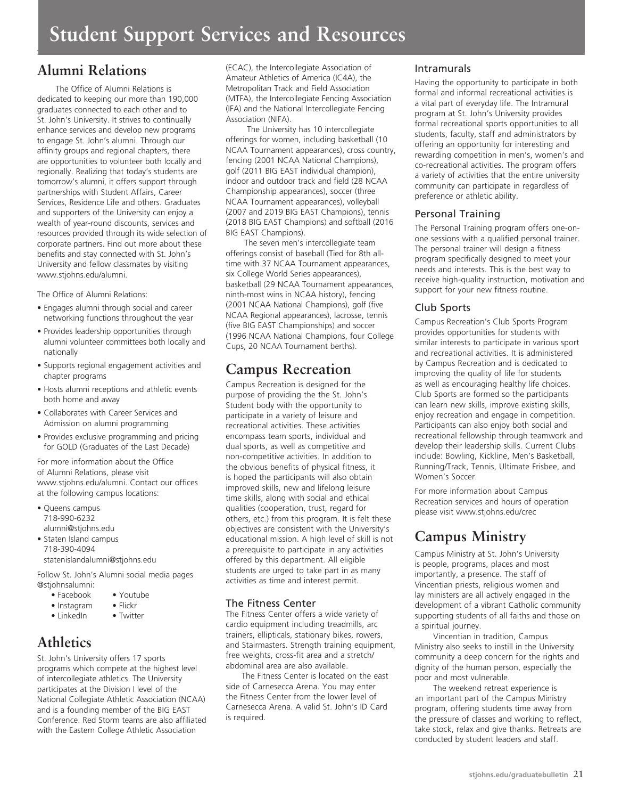# **Alumni Relations**

The Office of Alumni Relations is dedicated to keeping our more than 190,000 graduates connected to each other and to St. John's University. It strives to continually enhance services and develop new programs to engage St. John's alumni. Through our affinity groups and regional chapters, there are opportunities to volunteer both locally and regionally. Realizing that today's students are tomorrow's alumni, it offers support through partnerships with Student Affairs, Career Services, Residence Life and others. Graduates and supporters of the University can enjoy a wealth of year-round discounts, services and resources provided through its wide selection of corporate partners. Find out more about these benefits and stay connected with St. John's University and fellow classmates by visiting www.stjohns.edu/alumni.

The Office of Alumni Relations:

- Engages alumni through social and career networking functions throughout the year
- Provides leadership opportunities through alumni volunteer committees both locally and nationally
- Supports regional engagement activities and chapter programs
- Hosts alumni receptions and athletic events both home and away
- Collaborates with Career Services and Admission on alumni programming
- Provides exclusive programming and pricing for GOLD (Graduates of the Last Decade)

For more information about the Office of Alumni Relations, please visit www.stjohns.edu/alumni. Contact our offices at the following campus locations:

- Queens campus 718-990-6232 alumni@stjohns.edu
- Staten Island campus 718-390-4094 statenislandalumni@stjohns.edu

Follow St. John's Alumni social media pages @stjohnsalumni:

- Facebook Youtube
- Instagram Flickr
- LinkedIn Twitter

# **Athletics**

St. John's University offers 17 sports programs which compete at the highest level of intercollegiate athletics. The University participates at the Division I level of the National Collegiate Athletic Association (NCAA) and is a founding member of the BIG EAST Conference. Red Storm teams are also affiliated with the Eastern College Athletic Association

(ECAC), the Intercollegiate Association of Amateur Athletics of America (IC4A), the Metropolitan Track and Field Association (MTFA), the Intercollegiate Fencing Association (IFA) and the National Intercollegiate Fencing Association (NIFA).

 The University has 10 intercollegiate offerings for women, including basketball (10 NCAA Tournament appearances), cross country, fencing (2001 NCAA National Champions), golf (2011 BIG EAST individual champion), indoor and outdoor track and field (28 NCAA Championship appearances), soccer (three NCAA Tournament appearances), volleyball (2007 and 2019 BIG EAST Champions), tennis (2018 BIG EAST Champions) and softball (2016 BIG EAST Champions).

The seven men's intercollegiate team offerings consist of baseball (Tied for 8th alltime with 37 NCAA Tournament appearances, six College World Series appearances), basketball (29 NCAA Tournament appearances, ninth-most wins in NCAA history), fencing (2001 NCAA National Champions), golf (five NCAA Regional appearances), lacrosse, tennis (five BIG EAST Championships) and soccer (1996 NCAA National Champions, four College Cups, 20 NCAA Tournament berths).

### **Campus Recreation**

Campus Recreation is designed for the purpose of providing the the St. John's Student body with the opportunity to participate in a variety of leisure and recreational activities. These activities encompass team sports, individual and dual sports, as well as competitive and non-competitive activities. In addition to the obvious benefits of physical fitness, it is hoped the participants will also obtain improved skills, new and lifelong leisure time skills, along with social and ethical qualities (cooperation, trust, regard for others, etc.) from this program. It is felt these objectives are consistent with the University's educational mission. A high level of skill is not a prerequisite to participate in any activities offered by this department. All eligible students are urged to take part in as many activities as time and interest permit.

#### The Fitness Center

The Fitness Center offers a wide variety of cardio equipment including treadmills, arc trainers, ellipticals, stationary bikes, rowers, and Stairmasters. Strength training equipment, free weights, cross-fit area and a stretch/ abdominal area are also available.

The Fitness Center is located on the east side of Carnesecca Arena. You may enter the Fitness Center from the lower level of Carnesecca Arena. A valid St. John's ID Card is required.

#### Intramurals

Having the opportunity to participate in both formal and informal recreational activities is a vital part of everyday life. The Intramural program at St. John's University provides formal recreational sports opportunities to all students, faculty, staff and administrators by offering an opportunity for interesting and rewarding competition in men's, women's and co-recreational activities. The program offers a variety of activities that the entire university community can participate in regardless of preference or athletic ability.

#### Personal Training

The Personal Training program offers one-onone sessions with a qualified personal trainer. The personal trainer will design a fitness program specifically designed to meet your needs and interests. This is the best way to receive high-quality instruction, motivation and support for your new fitness routine.

#### Club Sports

Campus Recreation's Club Sports Program provides opportunities for students with similar interests to participate in various sport and recreational activities. It is administered by Campus Recreation and is dedicated to improving the quality of life for students as well as encouraging healthy life choices. Club Sports are formed so the participants can learn new skills, improve existing skills, enjoy recreation and engage in competition. Participants can also enjoy both social and recreational fellowship through teamwork and develop their leadership skills. Current Clubs include: Bowling, Kickline, Men's Basketball, Running/Track, Tennis, Ultimate Frisbee, and Women's Soccer.

For more information about Campus Recreation services and hours of operation please visit www.stjohns.edu/crec

# **Campus Ministry**

Campus Ministry at St. John's University is people, programs, places and most importantly, a presence. The staff of Vincentian priests, religious women and lay ministers are all actively engaged in the development of a vibrant Catholic community supporting students of all faiths and those on a spiritual journey.

Vincentian in tradition, Campus Ministry also seeks to instill in the University community a deep concern for the rights and dignity of the human person, especially the poor and most vulnerable.

The weekend retreat experience is an important part of the Campus Ministry program, offering students time away from the pressure of classes and working to reflect, take stock, relax and give thanks. Retreats are conducted by student leaders and staff.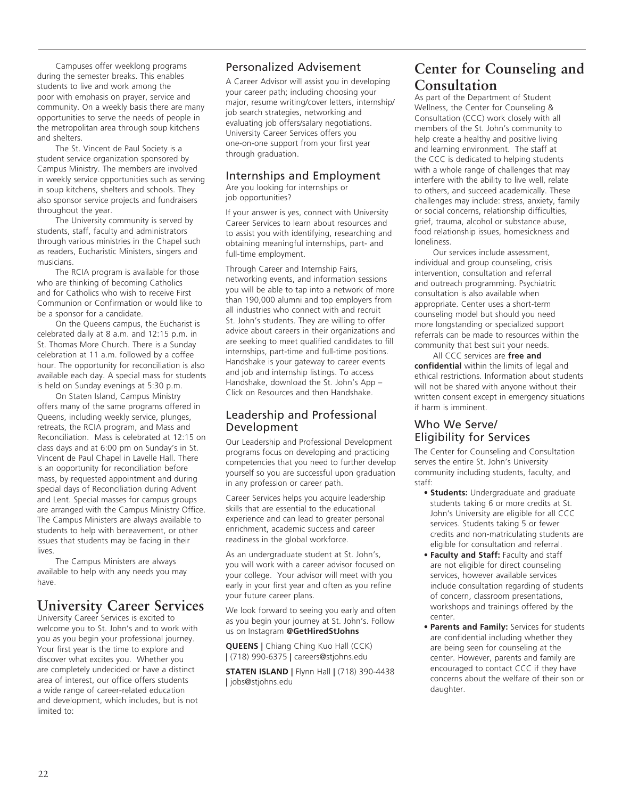Campuses offer weeklong programs during the semester breaks. This enables students to live and work among the poor with emphasis on prayer, service and community. On a weekly basis there are many opportunities to serve the needs of people in the metropolitan area through soup kitchens and shelters.

The St. Vincent de Paul Society is a student service organization sponsored by Campus Ministry. The members are involved in weekly service opportunities such as serving in soup kitchens, shelters and schools. They also sponsor service projects and fundraisers throughout the year.

The University community is served by students, staff, faculty and administrators through various ministries in the Chapel such as readers, Eucharistic Ministers, singers and musicians.

The RCIA program is available for those who are thinking of becoming Catholics and for Catholics who wish to receive First Communion or Confirmation or would like to be a sponsor for a candidate.

On the Queens campus, the Eucharist is celebrated daily at 8 a.m. and 12:15 p.m. in St. Thomas More Church. There is a Sunday celebration at 11 a.m. followed by a coffee hour. The opportunity for reconciliation is also available each day. A special mass for students is held on Sunday evenings at 5:30 p.m.

On Staten Island, Campus Ministry offers many of the same programs offered in Queens, including weekly service, plunges, retreats, the RCIA program, and Mass and Reconciliation. Mass is celebrated at 12:15 on class days and at 6:00 pm on Sunday's in St. Vincent de Paul Chapel in Lavelle Hall. There is an opportunity for reconciliation before mass, by requested appointment and during special days of Reconciliation during Advent and Lent. Special masses for campus groups are arranged with the Campus Ministry Office. The Campus Ministers are always available to students to help with bereavement, or other issues that students may be facing in their lives.

The Campus Ministers are always available to help with any needs you may have.

# **University Career Services**

University Career Services is excited to welcome you to St. John's and to work with you as you begin your professional journey. Your first year is the time to explore and discover what excites you. Whether you are completely undecided or have a distinct area of interest, our office offers students a wide range of career-related education and development, which includes, but is not limited to:

#### Personalized Advisement

A Career Advisor will assist you in developing your career path; including choosing your major, resume writing/cover letters, internship/ job search strategies, networking and evaluating job offers/salary negotiations. University Career Services offers you one-on-one support from your first year through graduation.

#### Internships and Employment

Are you looking for internships or job opportunities?

If your answer is yes, connect with University Career Services to learn about resources and to assist you with identifying, researching and obtaining meaningful internships, part- and full-time employment.

Through Career and Internship Fairs, networking events, and information sessions you will be able to tap into a network of more than 190,000 alumni and top employers from all industries who connect with and recruit St. John's students. They are willing to offer advice about careers in their organizations and are seeking to meet qualified candidates to fill internships, part-time and full-time positions. Handshake is your gateway to career events and job and internship listings. To access Handshake, download the St. John's App – Click on Resources and then Handshake.

#### Leadership and Professional Development

Our Leadership and Professional Development programs focus on developing and practicing competencies that you need to further develop yourself so you are successful upon graduation in any profession or career path.

Career Services helps you acquire leadership skills that are essential to the educational experience and can lead to greater personal enrichment, academic success and career readiness in the global workforce.

As an undergraduate student at St. John's, you will work with a career advisor focused on your college. Your advisor will meet with you early in your first year and often as you refine your future career plans.

We look forward to seeing you early and often as you begin your journey at St. John's. Follow us on Instagram **@GetHiredStJohns**

**QUEENS |** Chiang Ching Kuo Hall (CCK) **|** (718) 990-6375 **|** careers@stjohns.edu

**STATEN ISLAND |** Flynn Hall **|** (718) 390-4438 **|** jobs@stjohns.edu

### **Center for Counseling and Consultation**

As part of the Department of Student Wellness, the Center for Counseling & Consultation (CCC) work closely with all members of the St. John's community to help create a healthy and positive living and learning environment. The staff at the CCC is dedicated to helping students with a whole range of challenges that may interfere with the ability to live well, relate to others, and succeed academically. These challenges may include: stress, anxiety, family or social concerns, relationship difficulties, grief, trauma, alcohol or substance abuse, food relationship issues, homesickness and loneliness.

Our services include assessment, individual and group counseling, crisis intervention, consultation and referral and outreach programming. Psychiatric consultation is also available when appropriate. Center uses a short-term counseling model but should you need more longstanding or specialized support referrals can be made to resources within the community that best suit your needs.

All CCC services are **free and confidential** within the limits of legal and ethical restrictions. Information about students will not be shared with anyone without their written consent except in emergency situations if harm is imminent.

#### Who We Serve/ Eligibility for Services

The Center for Counseling and Consultation serves the entire St. John's University community including students, faculty, and staff:

- **Students:** Undergraduate and graduate students taking 6 or more credits at St. John's University are eligible for all CCC services. Students taking 5 or fewer credits and non-matriculating students are eligible for consultation and referral.
- • **Faculty and Staff:** Faculty and staff are not eligible for direct counseling services, however available services include consultation regarding of students of concern, classroom presentations, workshops and trainings offered by the center.
- • **Parents and Family:** Services for students are confidential including whether they are being seen for counseling at the center. However, parents and family are encouraged to contact CCC if they have concerns about the welfare of their son or daughter.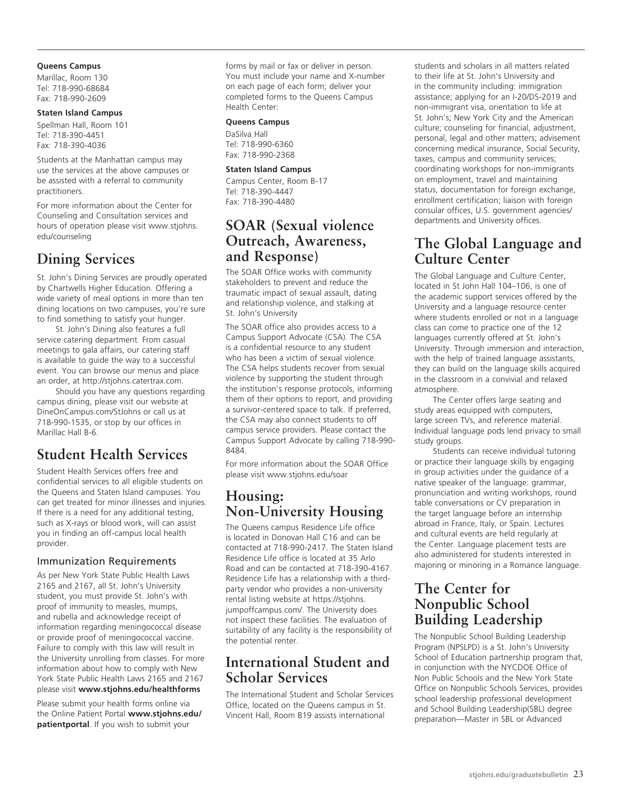#### **Queens Campus**

Marillac, Room 130 Tel: 718-990-68684 Fax: 718-990-2609

#### **Staten Island Campus**

Spellman Hall, Room 101 Tel: 718-390-4451 Fax: 718-390-4036

Students at the Manhattan campus may use the services at the above campuses or be assisted with a referral to community practitioners.

For more information about the Center for Counseling and Consultation services and hours of operation please visit www.stjohns. edu/counseling

# **Dining Services**

St. John's Dining Services are proudly operated by Chartwells Higher Education. Offering a wide variety of meal options in more than ten dining locations on two campuses, you're sure to find something to satisfy your hunger.

St. John's Dining also features a full service catering department. From casual meetings to gala affairs, our catering staff is available to guide the way to a successful event. You can browse our menus and place an order, at http://stjohns.catertrax.com.

Should you have any questions regarding campus dining, please visit our website at DineOnCampus.com/StJohns or call us at 718-990-1535, or stop by our offices in Marillac Hall B-6.

# **Student Health Services**

Student Health Services offers free and confidential services to all eligible students on the Queens and Staten Island campuses. You can get treated for minor illnesses and injuries. If there is a need for any additional testing, such as X-rays or blood work, will can assist you in finding an off-campus local health provider.

#### Immunization Requirements

As per New York State Public Health Laws 2165 and 2167, all St. John's University student, you must provide St. John's with proof of immunity to measles, mumps, and rubella and acknowledge receipt of information regarding meningococcal disease or provide proof of meningococcal vaccine. Failure to comply with this law will result in the University unrolling from classes. For more information about how to comply with New York State Public Health Laws 2165 and 2167 please visit **www.stjohns.edu/healthforms**

Please submit your health forms online via the Online Patient Portal **www.stjohns.edu/ patientportal**. If you wish to submit your

forms by mail or fax or deliver in person. You must include your name and X-number on each page of each form; deliver your completed forms to the Queens Campus Health Center:

#### **Queens Campus**

DaSilva Hall Tel: 718-990-6360 Fax: 718-990-2368

#### **Staten Island Campus**

Campus Center, Room B-17 Tel: 718-390-4447 Fax: 718-390-4480

### **SOAR (Sexual violence Outreach, Awareness, and Response)**

The SOAR Office works with community stakeholders to prevent and reduce the traumatic impact of sexual assault, dating and relationship violence, and stalking at St. John's University

The SOAR office also provides access to a Campus Support Advocate (CSA). The CSA is a confidential resource to any student who has been a victim of sexual violence. The CSA helps students recover from sexual violence by supporting the student through the institution's response protocols, informing them of their options to report, and providing a survivor-centered space to talk. If preferred, the CSA may also connect students to off campus service providers. Please contact the Campus Support Advocate by calling 718-990- 8484.

For more information about the SOAR Office please visit www.stjohns.edu/soar

### **Housing: Non-University Housing**

The Queens campus Residence Life office is located in Donovan Hall C16 and can be contacted at 718-990-2417. The Staten Island Residence Life office is located at 35 Arlo Road and can be contacted at 718-390-4167. Residence Life has a relationship with a thirdparty vendor who provides a non-university rental listing website at https://stjohns. jumpoffcampus.com/. The University does not inspect these facilities. The evaluation of suitability of any facility is the responsibility of the potential renter.

### **International Student and Scholar Services**

The International Student and Scholar Services Office, located on the Queens campus in St. Vincent Hall, Room B19 assists international

students and scholars in all matters related to their life at St. John's University and in the community including: immigration assistance; applying for an I-20/DS-2019 and non-immigrant visa, orientation to life at St. John's; New York City and the American culture; counseling for financial, adjustment, personal, legal and other matters; advisement concerning medical insurance, Social Security, taxes, campus and community services; coordinating workshops for non-immigrants on employment, travel and maintaining status, documentation for foreign exchange, enrollment certification; liaison with foreign consular offices, U.S. government agencies/ departments and University offices.

### **The Global Language and Culture Center**

The Global Language and Culture Center, located in St John Hall 104–106, is one of the academic support services offered by the University and a language resource center where students enrolled or not in a language class can come to practice one of the 12 languages currently offered at St. John's University. Through immersion and interaction, with the help of trained language assistants, they can build on the language skills acquired in the classroom in a convivial and relaxed atmosphere.

The Center offers large seating and study areas equipped with computers, large screen TVs, and reference material. Individual language pods lend privacy to small study groups.

Students can receive individual tutoring or practice their language skills by engaging in group activities under the guidance of a native speaker of the language: grammar, pronunciation and writing workshops, round table conversations or CV preparation in the target language before an internship abroad in France, Italy, or Spain. Lectures and cultural events are held regularly at the Center. Language placement tests are also administered for students interested in majoring or minoring in a Romance language.

## **The Center for Nonpublic School Building Leadership**

The Nonpublic School Building Leadership Program (NPSLPD) is a St. John's University School of Education partnership program that, in conjunction with the NYCDOE Office of Non Public Schools and the New York State Office on Nonpublic Schools Services, provides school leadership professional development and School Building Leadership(SBL) degree preparation—Master in SBL or Advanced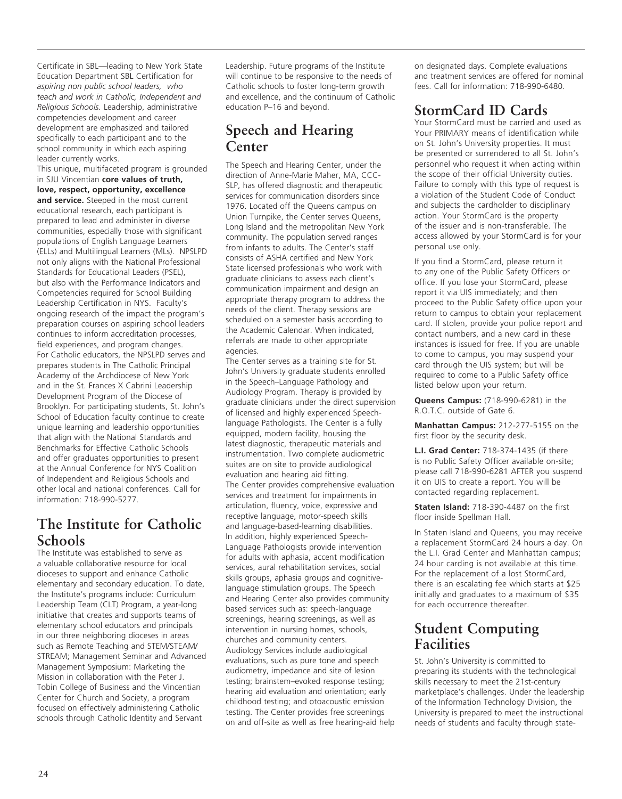Certificate in SBL—leading to New York State Education Department SBL Certification for *aspiring non public school leaders, who teach and work in Catholic, Independent and Religious Schools.* Leadership, administrative competencies development and career development are emphasized and tailored specifically to each participant and to the school community in which each aspiring leader currently works.

This unique, multifaceted program is grounded in SJU Vincentian **core values of truth, love, respect, opportunity, excellence and service.** Steeped in the most current educational research, each participant is prepared to lead and administer in diverse communities, especially those with significant populations of English Language Learners (ELLs) and Multilingual Learners (MLs). NPSLPD not only aligns with the National Professional Standards for Educational Leaders (PSEL), but also with the Performance Indicators and Competencies required for School Building Leadership Certification in NYS. Faculty's ongoing research of the impact the program's preparation courses on aspiring school leaders continues to inform accreditation processes, field experiences, and program changes. For Catholic educators, the NPSLPD serves and prepares students in The Catholic Principal Academy of the Archdiocese of New York and in the St. Frances X Cabrini Leadership Development Program of the Diocese of Brooklyn. For participating students, St. John's School of Education faculty continue to create unique learning and leadership opportunities that align with the National Standards and Benchmarks for Effective Catholic Schools and offer graduates opportunities to present at the Annual Conference for NYS Coalition of Independent and Religious Schools and other local and national conferences. Call for information: 718-990-5277.

# **The Institute for Catholic Schools**

The Institute was established to serve as a valuable collaborative resource for local dioceses to support and enhance Catholic elementary and secondary education. To date, the Institute's programs include: Curriculum Leadership Team (CLT) Program, a year-long initiative that creates and supports teams of elementary school educators and principals in our three neighboring dioceses in areas such as Remote Teaching and STEM/STEAM/ STREAM; Management Seminar and Advanced Management Symposium: Marketing the Mission in collaboration with the Peter J. Tobin College of Business and the Vincentian Center for Church and Society, a program focused on effectively administering Catholic schools through Catholic Identity and Servant

Leadership. Future programs of the Institute will continue to be responsive to the needs of Catholic schools to foster long-term growth and excellence, and the continuum of Catholic education P–16 and beyond.

# **Speech and Hearing Center**

The Speech and Hearing Center, under the direction of Anne-Marie Maher, MA, CCC-SLP, has offered diagnostic and therapeutic services for communication disorders since 1976. Located off the Queens campus on Union Turnpike, the Center serves Queens, Long Island and the metropolitan New York community. The population served ranges from infants to adults. The Center's staff consists of ASHA certified and New York State licensed professionals who work with graduate clinicians to assess each client's communication impairment and design an appropriate therapy program to address the needs of the client. Therapy sessions are scheduled on a semester basis according to the Academic Calendar. When indicated, referrals are made to other appropriate agencies.

The Center serves as a training site for St. John's University graduate students enrolled in the Speech–Language Pathology and Audiology Program. Therapy is provided by graduate clinicians under the direct supervision of licensed and highly experienced Speechlanguage Pathologists. The Center is a fully equipped, modern facility, housing the latest diagnostic, therapeutic materials and instrumentation. Two complete audiometric suites are on site to provide audiological evaluation and hearing aid fitting. The Center provides comprehensive evaluation services and treatment for impairments in articulation, fluency, voice, expressive and receptive language, motor-speech skills and language-based-learning disabilities. In addition, highly experienced Speech-Language Pathologists provide intervention for adults with aphasia, accent modification services, aural rehabilitation services, social skills groups, aphasia groups and cognitivelanguage stimulation groups. The Speech and Hearing Center also provides community based services such as: speech-language screenings, hearing screenings, as well as intervention in nursing homes, schools, churches and community centers. Audiology Services include audiological evaluations, such as pure tone and speech audiometry, impedance and site of lesion testing; brainstem–evoked response testing; hearing aid evaluation and orientation; early childhood testing; and otoacoustic emission testing. The Center provides free screenings on and off-site as well as free hearing-aid help

on designated days. Complete evaluations and treatment services are offered for nominal fees. Call for information: 718-990-6480.

# **StormCard ID Cards**

Your StormCard must be carried and used as Your PRIMARY means of identification while on St. John's University properties. It must be presented or surrendered to all St. John's personnel who request it when acting within the scope of their official University duties. Failure to comply with this type of request is a violation of the Student Code of Conduct and subjects the cardholder to disciplinary action. Your StormCard is the property of the issuer and is non-transferable. The access allowed by your StormCard is for your personal use only.

If you find a StormCard, please return it to any one of the Public Safety Officers or office. If you lose your StormCard, please report it via UIS immediately; and then proceed to the Public Safety office upon your return to campus to obtain your replacement card. If stolen, provide your police report and contact numbers, and a new card in these instances is issued for free. If you are unable to come to campus, you may suspend your card through the UIS system; but will be required to come to a Public Safety office listed below upon your return.

**Queens Campus:** (718-990-6281) in the R.O.T.C. outside of Gate 6.

**Manhattan Campus:** 212-277-5155 on the first floor by the security desk.

**L.I. Grad Center:** 718-374-1435 (if there is no Public Safety Officer available on-site; please call 718-990-6281 AFTER you suspend it on UIS to create a report. You will be contacted regarding replacement.

**Staten Island:** 718-390-4487 on the first floor inside Spellman Hall.

In Staten Island and Queens, you may receive a replacement StormCard 24 hours a day. On the L.I. Grad Center and Manhattan campus; 24 hour carding is not available at this time. For the replacement of a lost StormCard, there is an escalating fee which starts at \$25 initially and graduates to a maximum of \$35 for each occurrence thereafter.

### **Student Computing Facilities**

St. John's University is committed to preparing its students with the technological skills necessary to meet the 21st-century marketplace's challenges. Under the leadership of the Information Technology Division, the University is prepared to meet the instructional needs of students and faculty through state